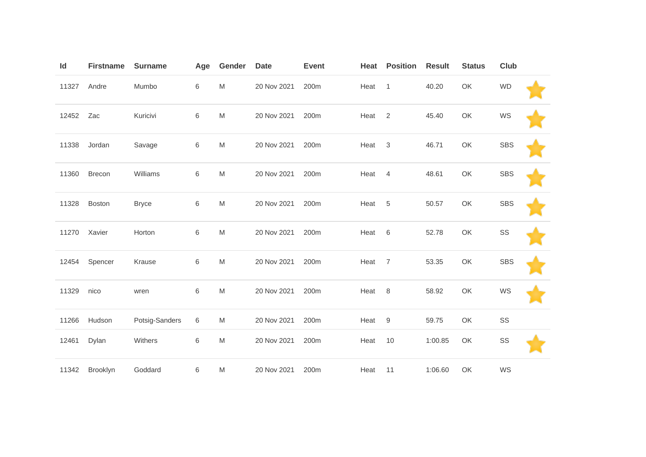| Id    | <b>Firstname</b> | <b>Surname</b> | Age   | Gender    | <b>Date</b> | <b>Event</b> | Heat | <b>Position</b>  | <b>Result</b> | <b>Status</b> | Club       |  |
|-------|------------------|----------------|-------|-----------|-------------|--------------|------|------------------|---------------|---------------|------------|--|
| 11327 | Andre            | Mumbo          | 6     | M         | 20 Nov 2021 | 200m         | Heat | $\mathbf{1}$     | 40.20         | OK            | <b>WD</b>  |  |
| 12452 | Zac              | Kuricivi       | 6     | M         | 20 Nov 2021 | 200m         | Heat | 2                | 45.40         | OK            | WS         |  |
| 11338 | Jordan           | Savage         | 6     | M         | 20 Nov 2021 | 200m         | Heat | 3                | 46.71         | OK            | <b>SBS</b> |  |
| 11360 | Brecon           | Williams       | 6     | M         | 20 Nov 2021 | 200m         | Heat | $\overline{4}$   | 48.61         | OK            | <b>SBS</b> |  |
| 11328 | <b>Boston</b>    | <b>Bryce</b>   | 6     | M         | 20 Nov 2021 | 200m         | Heat | 5                | 50.57         | OK            | <b>SBS</b> |  |
| 11270 | Xavier           | Horton         | 6     | ${\sf M}$ | 20 Nov 2021 | 200m         | Heat | $6\,$            | 52.78         | OK            | SS         |  |
| 12454 | Spencer          | Krause         | 6     | M         | 20 Nov 2021 | 200m         | Heat | $\overline{7}$   | 53.35         | OK            | <b>SBS</b> |  |
| 11329 | nico             | wren           | $\,6$ | M         | 20 Nov 2021 | 200m         | Heat | 8                | 58.92         | OK            | WS         |  |
| 11266 | Hudson           | Potsig-Sanders | 6     | M         | 20 Nov 2021 | 200m         | Heat | $\boldsymbol{9}$ | 59.75         | OK            | SS         |  |
| 12461 | Dylan            | Withers        | 6     | M         | 20 Nov 2021 | 200m         | Heat | 10               | 1:00.85       | OK            | SS         |  |
| 11342 | Brooklyn         | Goddard        | 6     | M         | 20 Nov 2021 | 200m         | Heat | 11               | 1:06.60       | OK            | WS         |  |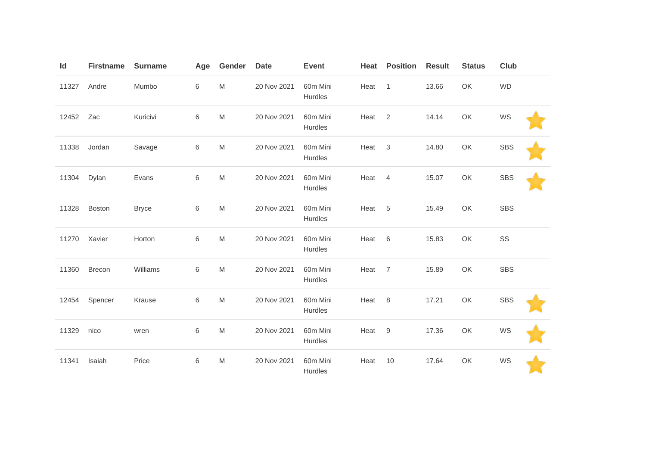| Id    | <b>Firstname</b> | <b>Surname</b> | Age     | Gender                                                                                                     | <b>Date</b> | <b>Event</b>        | Heat | <b>Position</b>  | <b>Result</b> | <b>Status</b> | Club       |  |
|-------|------------------|----------------|---------|------------------------------------------------------------------------------------------------------------|-------------|---------------------|------|------------------|---------------|---------------|------------|--|
| 11327 | Andre            | Mumbo          | 6       | $\mathsf{M}% _{T}=\mathsf{M}_{T}\!\left( a,b\right) ,\ \mathsf{M}_{T}=\mathsf{M}_{T}\!\left( a,b\right) ,$ | 20 Nov 2021 | 60m Mini<br>Hurdles | Heat | $\mathbf{1}$     | 13.66         | OK            | <b>WD</b>  |  |
| 12452 | Zac              | Kuricivi       | $\,6$   | $\mathsf{M}% _{T}=\mathsf{M}_{T}\!\left( a,b\right) ,\ \mathsf{M}_{T}=\mathsf{M}_{T}\!\left( a,b\right) ,$ | 20 Nov 2021 | 60m Mini<br>Hurdles | Heat | 2                | 14.14         | OK            | WS         |  |
| 11338 | Jordan           | Savage         | $\,6$   | M                                                                                                          | 20 Nov 2021 | 60m Mini<br>Hurdles | Heat | $\sqrt{3}$       | 14.80         | OK            | <b>SBS</b> |  |
| 11304 | Dylan            | Evans          | $\,6$   | $\mathsf{M}% _{T}=\mathsf{M}_{T}\!\left( a,b\right) ,\ \mathsf{M}_{T}=\mathsf{M}_{T}\!\left( a,b\right) ,$ | 20 Nov 2021 | 60m Mini<br>Hurdles | Heat | $\overline{4}$   | 15.07         | OK            | <b>SBS</b> |  |
| 11328 | Boston           | <b>Bryce</b>   | $\,6\,$ | M                                                                                                          | 20 Nov 2021 | 60m Mini<br>Hurdles | Heat | 5                | 15.49         | OK            | <b>SBS</b> |  |
| 11270 | Xavier           | Horton         | $\,6\,$ | $\mathsf{M}% _{T}=\mathsf{M}_{T}\!\left( a,b\right) ,\ \mathsf{M}_{T}=\mathsf{M}_{T}\!\left( a,b\right) ,$ | 20 Nov 2021 | 60m Mini<br>Hurdles | Heat | $6\,$            | 15.83         | OK            | SS         |  |
| 11360 | <b>Brecon</b>    | Williams       | $\,6$   | M                                                                                                          | 20 Nov 2021 | 60m Mini<br>Hurdles | Heat | 7                | 15.89         | OK            | <b>SBS</b> |  |
| 12454 | Spencer          | Krause         | $\,6\,$ | $\mathsf{M}% _{T}=\mathsf{M}_{T}\!\left( a,b\right) ,\ \mathsf{M}_{T}=\mathsf{M}_{T}\!\left( a,b\right) ,$ | 20 Nov 2021 | 60m Mini<br>Hurdles | Heat | 8                | 17.21         | OK            | <b>SBS</b> |  |
| 11329 | nico             | wren           | $\,6\,$ | M                                                                                                          | 20 Nov 2021 | 60m Mini<br>Hurdles | Heat | $\boldsymbol{9}$ | 17.36         | OK            | WS         |  |
| 11341 | Isaiah           | Price          | $\,6\,$ | M                                                                                                          | 20 Nov 2021 | 60m Mini<br>Hurdles | Heat | 10               | 17.64         | OK            | WS         |  |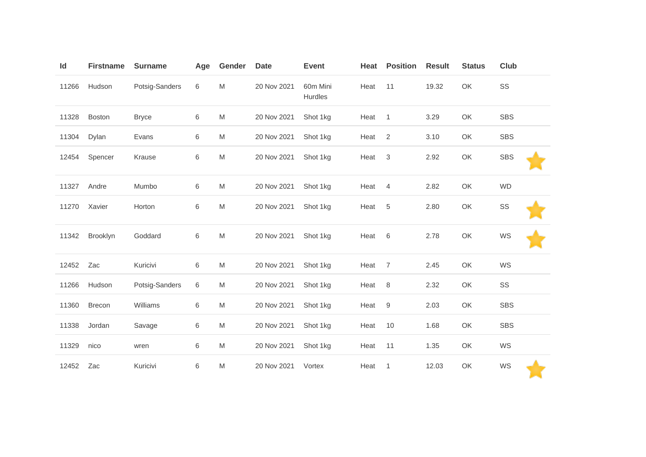| Id    | <b>Firstname</b> | <b>Surname</b> | Age | Gender | <b>Date</b> | <b>Event</b>        | Heat | <b>Position</b> | <b>Result</b> | <b>Status</b> | Club       |
|-------|------------------|----------------|-----|--------|-------------|---------------------|------|-----------------|---------------|---------------|------------|
| 11266 | Hudson           | Potsig-Sanders | 6   | M      | 20 Nov 2021 | 60m Mini<br>Hurdles | Heat | 11              | 19.32         | OK            | SS         |
| 11328 | <b>Boston</b>    | <b>Bryce</b>   | 6   | M      | 20 Nov 2021 | Shot 1kg            | Heat | $\mathbf{1}$    | 3.29          | OK            | <b>SBS</b> |
| 11304 | Dylan            | Evans          | 6   | M      | 20 Nov 2021 | Shot 1kg            | Heat | $\overline{2}$  | 3.10          | OK            | <b>SBS</b> |
| 12454 | Spencer          | Krause         | 6   | M      | 20 Nov 2021 | Shot 1kg            | Heat | $\sqrt{3}$      | 2.92          | OK            | <b>SBS</b> |
| 11327 | Andre            | Mumbo          | 6   | M      | 20 Nov 2021 | Shot 1kg            | Heat | $\overline{4}$  | 2.82          | OK            | <b>WD</b>  |
| 11270 | Xavier           | Horton         | 6   | M      | 20 Nov 2021 | Shot 1kg            | Heat | 5               | 2.80          | OK            | SS         |
| 11342 | Brooklyn         | Goddard        | 6   | M      | 20 Nov 2021 | Shot 1kg            | Heat | 6               | 2.78          | OK            | WS         |
| 12452 | Zac              | Kuricivi       | 6   | M      | 20 Nov 2021 | Shot 1kg            | Heat | $\overline{7}$  | 2.45          | OK            | WS         |
| 11266 | Hudson           | Potsig-Sanders | 6   | M      | 20 Nov 2021 | Shot 1kg            | Heat | 8               | 2.32          | OK            | SS         |
| 11360 | Brecon           | Williams       | 6   | M      | 20 Nov 2021 | Shot 1kg            | Heat | $9\,$           | 2.03          | OK            | <b>SBS</b> |
| 11338 | Jordan           | Savage         | 6   | M      | 20 Nov 2021 | Shot 1kg            | Heat | 10              | 1.68          | OK            | <b>SBS</b> |
| 11329 | nico             | wren           | 6   | M      | 20 Nov 2021 | Shot 1kg            | Heat | 11              | 1.35          | OK            | WS         |
| 12452 | Zac              | Kuricivi       | 6   | M      | 20 Nov 2021 | Vortex              | Heat | 1               | 12.03         | OK            | WS         |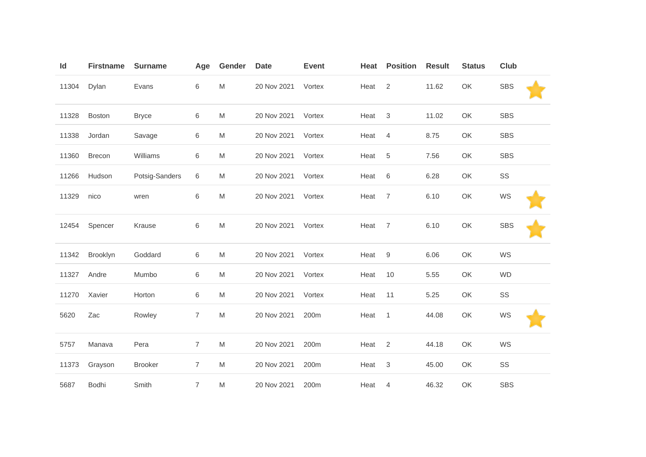| Id    | <b>Firstname</b> | <b>Surname</b> | Age            | Gender | <b>Date</b> | <b>Event</b> | Heat | <b>Position</b> | <b>Result</b> | <b>Status</b> | <b>Club</b> |  |
|-------|------------------|----------------|----------------|--------|-------------|--------------|------|-----------------|---------------|---------------|-------------|--|
| 11304 | Dylan            | Evans          | 6              | M      | 20 Nov 2021 | Vortex       | Heat | $\mathbf{2}$    | 11.62         | OK            | <b>SBS</b>  |  |
| 11328 | Boston           | <b>Bryce</b>   | 6              | M      | 20 Nov 2021 | Vortex       | Heat | $\mathbf{3}$    | 11.02         | OK            | <b>SBS</b>  |  |
| 11338 | Jordan           | Savage         | 6              | M      | 20 Nov 2021 | Vortex       | Heat | $\overline{4}$  | 8.75          | OK            | <b>SBS</b>  |  |
| 11360 | Brecon           | Williams       | 6              | M      | 20 Nov 2021 | Vortex       | Heat | $\sqrt{5}$      | 7.56          | OK            | <b>SBS</b>  |  |
| 11266 | Hudson           | Potsig-Sanders | 6              | M      | 20 Nov 2021 | Vortex       | Heat | 6               | 6.28          | OK            | SS          |  |
| 11329 | nico             | wren           | 6              | M      | 20 Nov 2021 | Vortex       | Heat | $\overline{7}$  | 6.10          | OK            | WS          |  |
| 12454 | Spencer          | Krause         | 6              | M      | 20 Nov 2021 | Vortex       | Heat | $\overline{7}$  | 6.10          | OK            | <b>SBS</b>  |  |
| 11342 | Brooklyn         | Goddard        | 6              | M      | 20 Nov 2021 | Vortex       | Heat | $9\,$           | 6.06          | OK            | WS          |  |
| 11327 | Andre            | Mumbo          | 6              | M      | 20 Nov 2021 | Vortex       | Heat | 10              | 5.55          | OK            | <b>WD</b>   |  |
| 11270 | Xavier           | Horton         | 6              | M      | 20 Nov 2021 | Vortex       | Heat | 11              | 5.25          | OK            | SS          |  |
| 5620  | Zac              | Rowley         | $\overline{7}$ | M      | 20 Nov 2021 | 200m         | Heat | $\mathbf{1}$    | 44.08         | OK            | WS          |  |
| 5757  | Manava           | Pera           | $\overline{7}$ | M      | 20 Nov 2021 | 200m         | Heat | $\overline{2}$  | 44.18         | OK            | WS          |  |
| 11373 | Grayson          | <b>Brooker</b> | $\overline{7}$ | M      | 20 Nov 2021 | 200m         | Heat | $\sqrt{3}$      | 45.00         | OK            | SS          |  |
| 5687  | <b>Bodhi</b>     | Smith          | 7              | M      | 20 Nov 2021 | 200m         | Heat | 4               | 46.32         | OK            | <b>SBS</b>  |  |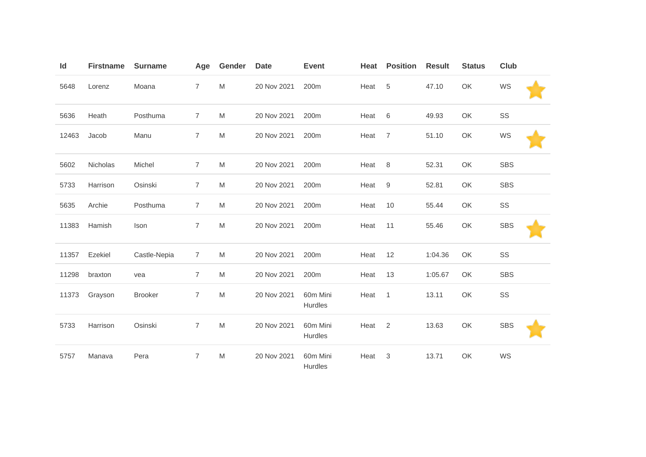| Id    | <b>Firstname</b> | <b>Surname</b> | Age            | Gender    | <b>Date</b> | <b>Event</b>               | Heat | <b>Position</b>  | <b>Result</b> | <b>Status</b> | Club       |  |
|-------|------------------|----------------|----------------|-----------|-------------|----------------------------|------|------------------|---------------|---------------|------------|--|
| 5648  | Lorenz           | Moana          | $\overline{7}$ | M         | 20 Nov 2021 | 200m                       | Heat | 5                | 47.10         | OK            | WS         |  |
| 5636  | Heath            | Posthuma       | $\overline{7}$ | M         | 20 Nov 2021 | 200m                       | Heat | 6                | 49.93         | OK            | SS         |  |
| 12463 | Jacob            | Manu           | $\overline{7}$ | M         | 20 Nov 2021 | 200m                       | Heat | $\overline{7}$   | 51.10         | OK            | WS         |  |
| 5602  | Nicholas         | Michel         | $\overline{7}$ | M         | 20 Nov 2021 | 200m                       | Heat | 8                | 52.31         | OK            | <b>SBS</b> |  |
| 5733  | Harrison         | Osinski        | $\overline{7}$ | M         | 20 Nov 2021 | 200m                       | Heat | $\boldsymbol{9}$ | 52.81         | OK            | <b>SBS</b> |  |
| 5635  | Archie           | Posthuma       | $\overline{7}$ | M         | 20 Nov 2021 | 200m                       | Heat | 10               | 55.44         | OK            | SS         |  |
| 11383 | Hamish           | Ison           | 7              | ${\sf M}$ | 20 Nov 2021 | 200m                       | Heat | 11               | 55.46         | OK            | <b>SBS</b> |  |
| 11357 | Ezekiel          | Castle-Nepia   | $\overline{7}$ | M         | 20 Nov 2021 | 200m                       | Heat | 12               | 1:04.36       | OK            | SS         |  |
| 11298 | braxton          | vea            | $\overline{7}$ | M         | 20 Nov 2021 | 200m                       | Heat | 13               | 1:05.67       | OK            | <b>SBS</b> |  |
| 11373 | Grayson          | <b>Brooker</b> | $\overline{7}$ | M         | 20 Nov 2021 | 60m Mini<br>Hurdles        | Heat | $\mathbf{1}$     | 13.11         | OK            | SS         |  |
| 5733  | Harrison         | Osinski        | $\overline{7}$ | ${\sf M}$ | 20 Nov 2021 | 60m Mini<br><b>Hurdles</b> | Heat | $\sqrt{2}$       | 13.63         | OK            | <b>SBS</b> |  |
| 5757  | Manava           | Pera           | $\overline{7}$ | M         | 20 Nov 2021 | 60m Mini<br>Hurdles        | Heat | 3                | 13.71         | OK            | WS         |  |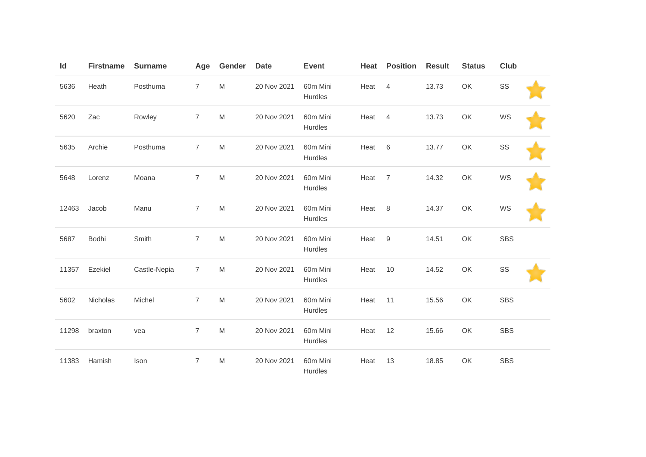| Id    | <b>Firstname</b> | <b>Surname</b> | Age            | Gender    | <b>Date</b> | <b>Event</b>        | Heat | <b>Position</b>  | <b>Result</b> | <b>Status</b> | <b>Club</b> |  |
|-------|------------------|----------------|----------------|-----------|-------------|---------------------|------|------------------|---------------|---------------|-------------|--|
| 5636  | Heath            | Posthuma       | $\overline{7}$ | ${\sf M}$ | 20 Nov 2021 | 60m Mini<br>Hurdles | Heat | $\overline{4}$   | 13.73         | OK            | SS          |  |
| 5620  | Zac              | Rowley         | 7              | M         | 20 Nov 2021 | 60m Mini<br>Hurdles | Heat | 4                | 13.73         | OK            | WS          |  |
| 5635  | Archie           | Posthuma       | $\overline{7}$ | M         | 20 Nov 2021 | 60m Mini<br>Hurdles | Heat | 6                | 13.77         | OK            | SS          |  |
| 5648  | Lorenz           | Moana          | 7              | ${\sf M}$ | 20 Nov 2021 | 60m Mini<br>Hurdles | Heat | 7                | 14.32         | OK            | WS          |  |
| 12463 | Jacob            | Manu           | $\overline{7}$ | ${\sf M}$ | 20 Nov 2021 | 60m Mini<br>Hurdles | Heat | $\,8\,$          | 14.37         | OK            | WS          |  |
| 5687  | Bodhi            | Smith          | $\overline{7}$ | ${\sf M}$ | 20 Nov 2021 | 60m Mini<br>Hurdles | Heat | $\boldsymbol{9}$ | 14.51         | OK            | <b>SBS</b>  |  |
| 11357 | Ezekiel          | Castle-Nepia   | 7              | M         | 20 Nov 2021 | 60m Mini<br>Hurdles | Heat | 10               | 14.52         | OK            | SS          |  |
| 5602  | Nicholas         | Michel         | $\overline{7}$ | ${\sf M}$ | 20 Nov 2021 | 60m Mini<br>Hurdles | Heat | 11               | 15.56         | OK            | <b>SBS</b>  |  |
| 11298 | braxton          | vea            | $\overline{7}$ | ${\sf M}$ | 20 Nov 2021 | 60m Mini<br>Hurdles | Heat | 12               | 15.66         | OK            | <b>SBS</b>  |  |
| 11383 | Hamish           | Ison           | $\overline{7}$ | ${\sf M}$ | 20 Nov 2021 | 60m Mini<br>Hurdles | Heat | 13               | 18.85         | OK            | <b>SBS</b>  |  |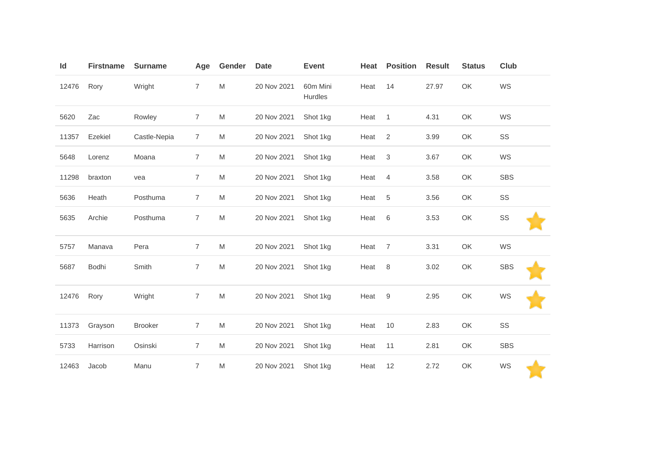| Id    | <b>Firstname</b> | <b>Surname</b> | Age            | Gender | <b>Date</b> | <b>Event</b>        | Heat | <b>Position</b> | <b>Result</b> | <b>Status</b> | Club       |
|-------|------------------|----------------|----------------|--------|-------------|---------------------|------|-----------------|---------------|---------------|------------|
| 12476 | Rory             | Wright         | $\overline{7}$ | M      | 20 Nov 2021 | 60m Mini<br>Hurdles | Heat | 14              | 27.97         | OK            | WS         |
| 5620  | Zac              | Rowley         | $\overline{7}$ | M      | 20 Nov 2021 | Shot 1kg            | Heat | $\overline{1}$  | 4.31          | OK            | WS         |
| 11357 | Ezekiel          | Castle-Nepia   | 7              | M      | 20 Nov 2021 | Shot 1kg            | Heat | $\overline{c}$  | 3.99          | OK            | SS         |
| 5648  | Lorenz           | Moana          | $\overline{7}$ | M      | 20 Nov 2021 | Shot 1kg            | Heat | $\sqrt{3}$      | 3.67          | OK            | WS         |
| 11298 | braxton          | vea            | $\overline{7}$ | M      | 20 Nov 2021 | Shot 1kg            | Heat | $\overline{4}$  | 3.58          | OK            | <b>SBS</b> |
| 5636  | Heath            | Posthuma       | $\overline{7}$ | M      | 20 Nov 2021 | Shot 1kg            | Heat | $\,$ 5 $\,$     | 3.56          | OK            | SS         |
| 5635  | Archie           | Posthuma       | $\overline{7}$ | M      | 20 Nov 2021 | Shot 1kg            | Heat | $\,6$           | 3.53          | OK            | SS         |
| 5757  | Manava           | Pera           | $\overline{7}$ | M      | 20 Nov 2021 | Shot 1kg            | Heat | $\overline{7}$  | 3.31          | OK            | WS         |
| 5687  | Bodhi            | Smith          | $\overline{7}$ | M      | 20 Nov 2021 | Shot 1kg            | Heat | $\,8\,$         | 3.02          | OK            | <b>SBS</b> |
| 12476 | Rory             | Wright         | $\overline{7}$ | M      | 20 Nov 2021 | Shot 1kg            | Heat | 9               | 2.95          | OK            | WS         |
| 11373 | Grayson          | <b>Brooker</b> | $\overline{7}$ | M      | 20 Nov 2021 | Shot 1kg            | Heat | 10              | 2.83          | OK            | SS         |
| 5733  | Harrison         | Osinski        | $\overline{7}$ | M      | 20 Nov 2021 | Shot 1kg            | Heat | 11              | 2.81          | OK            | <b>SBS</b> |
| 12463 | Jacob            | Manu           | $\overline{7}$ | M      | 20 Nov 2021 | Shot 1kg            | Heat | 12              | 2.72          | OK            | WS         |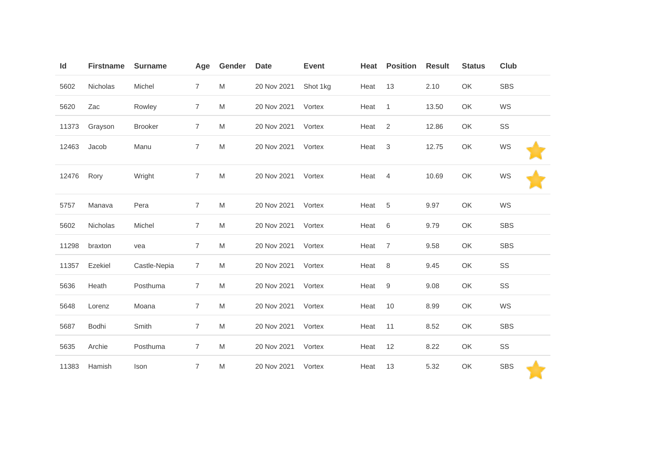| Id    | <b>Firstname</b> | <b>Surname</b> | Age            | Gender | <b>Date</b> | <b>Event</b> | Heat | <b>Position</b>  | <b>Result</b> | <b>Status</b> | Club       |
|-------|------------------|----------------|----------------|--------|-------------|--------------|------|------------------|---------------|---------------|------------|
| 5602  | Nicholas         | Michel         | $\overline{7}$ | M      | 20 Nov 2021 | Shot 1kg     | Heat | 13               | 2.10          | OK            | <b>SBS</b> |
| 5620  | Zac              | Rowley         | $\overline{7}$ | M      | 20 Nov 2021 | Vortex       | Heat | $\mathbf{1}$     | 13.50         | OK            | WS         |
| 11373 | Grayson          | <b>Brooker</b> | $\overline{7}$ | M      | 20 Nov 2021 | Vortex       | Heat | $\overline{2}$   | 12.86         | OK            | SS         |
| 12463 | Jacob            | Manu           | $\overline{7}$ | M      | 20 Nov 2021 | Vortex       | Heat | $\mathsf 3$      | 12.75         | OK            | WS         |
| 12476 | Rory             | Wright         | $\overline{7}$ | M      | 20 Nov 2021 | Vortex       | Heat | $\overline{4}$   | 10.69         | OK            | WS         |
| 5757  | Manava           | Pera           | $\overline{7}$ | M      | 20 Nov 2021 | Vortex       | Heat | 5                | 9.97          | OK            | WS         |
| 5602  | Nicholas         | Michel         | $\overline{7}$ | M      | 20 Nov 2021 | Vortex       | Heat | $\,6$            | 9.79          | OK            | <b>SBS</b> |
| 11298 | braxton          | vea            | 7              | M      | 20 Nov 2021 | Vortex       | Heat | $\overline{7}$   | 9.58          | OK            | <b>SBS</b> |
| 11357 | Ezekiel          | Castle-Nepia   | $\overline{7}$ | M      | 20 Nov 2021 | Vortex       | Heat | 8                | 9.45          | OK            | SS         |
| 5636  | Heath            | Posthuma       | $\overline{7}$ | M      | 20 Nov 2021 | Vortex       | Heat | $\boldsymbol{9}$ | 9.08          | OK            | SS         |
| 5648  | Lorenz           | Moana          | $\overline{7}$ | M      | 20 Nov 2021 | Vortex       | Heat | 10               | 8.99          | OK            | WS         |
| 5687  | Bodhi            | Smith          | $\overline{7}$ | M      | 20 Nov 2021 | Vortex       | Heat | 11               | 8.52          | OK            | <b>SBS</b> |
| 5635  | Archie           | Posthuma       | $\overline{7}$ | M      | 20 Nov 2021 | Vortex       | Heat | 12               | 8.22          | OK            | SS         |
| 11383 | Hamish           | Ison           | 7              | M      | 20 Nov 2021 | Vortex       | Heat | 13               | 5.32          | OK            | <b>SBS</b> |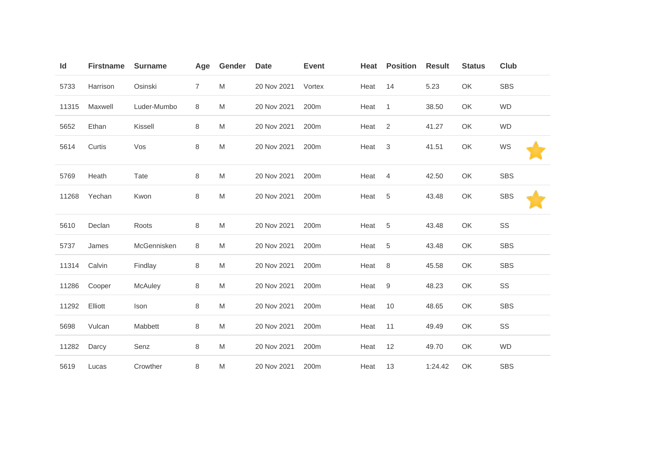| ld    | <b>Firstname</b> | <b>Surname</b> | Age            | Gender | <b>Date</b> | <b>Event</b>     | Heat | <b>Position</b> | <b>Result</b> | <b>Status</b> | Club       |
|-------|------------------|----------------|----------------|--------|-------------|------------------|------|-----------------|---------------|---------------|------------|
| 5733  | Harrison         | Osinski        | $\overline{7}$ | M      | 20 Nov 2021 | Vortex           | Heat | 14              | 5.23          | OK            | <b>SBS</b> |
| 11315 | Maxwell          | Luder-Mumbo    | 8              | M      | 20 Nov 2021 | 200m             | Heat | $\mathbf{1}$    | 38.50         | OK            | <b>WD</b>  |
| 5652  | Ethan            | Kissell        | 8              | M      | 20 Nov 2021 | 200m             | Heat | 2               | 41.27         | OK            | <b>WD</b>  |
| 5614  | Curtis           | Vos            | 8              | M      | 20 Nov 2021 | 200m             | Heat | $\sqrt{3}$      | 41.51         | OK            | WS         |
| 5769  | Heath            | Tate           | 8              | M      | 20 Nov 2021 | 200 <sub>m</sub> | Heat | $\overline{4}$  | 42.50         | OK            | <b>SBS</b> |
| 11268 | Yechan           | Kwon           | 8              | M      | 20 Nov 2021 | 200m             | Heat | 5               | 43.48         | OK            | <b>SBS</b> |
| 5610  | Declan           | Roots          | 8              | M      | 20 Nov 2021 | 200m             | Heat | 5               | 43.48         | OK            | SS         |
| 5737  | James            | McGennisken    | 8              | M      | 20 Nov 2021 | 200m             | Heat | 5               | 43.48         | OK            | <b>SBS</b> |
| 11314 | Calvin           | Findlay        | 8              | M      | 20 Nov 2021 | 200m             | Heat | 8               | 45.58         | OK            | <b>SBS</b> |
| 11286 | Cooper           | McAuley        | 8              | M      | 20 Nov 2021 | 200m             | Heat | 9               | 48.23         | OK            | SS         |
| 11292 | Elliott          | Ison           | $\,8\,$        | M      | 20 Nov 2021 | 200m             | Heat | 10              | 48.65         | OK            | <b>SBS</b> |
| 5698  | Vulcan           | Mabbett        | 8              | M      | 20 Nov 2021 | 200m             | Heat | 11              | 49.49         | OK            | SS         |
| 11282 | Darcy            | Senz           | $\,8\,$        | M      | 20 Nov 2021 | 200 <sub>m</sub> | Heat | 12              | 49.70         | OK            | <b>WD</b>  |
| 5619  | Lucas            | Crowther       | 8              | M      | 20 Nov 2021 | 200m             | Heat | 13              | 1:24.42       | OK            | <b>SBS</b> |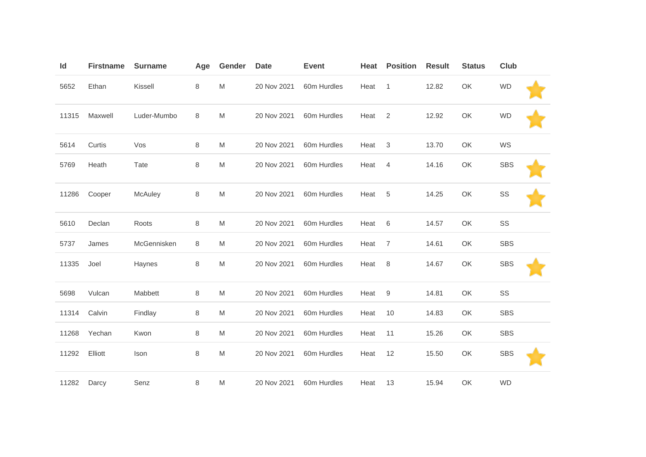| ld    | <b>Firstname</b> | <b>Surname</b> | Age | Gender | <b>Date</b> | <b>Event</b> | Heat | <b>Position</b> | <b>Result</b> | <b>Status</b> | <b>Club</b> |  |
|-------|------------------|----------------|-----|--------|-------------|--------------|------|-----------------|---------------|---------------|-------------|--|
| 5652  | Ethan            | Kissell        | 8   | M      | 20 Nov 2021 | 60m Hurdles  | Heat | $\mathbf{1}$    | 12.82         | OK            | <b>WD</b>   |  |
| 11315 | Maxwell          | Luder-Mumbo    | 8   | M      | 20 Nov 2021 | 60m Hurdles  | Heat | $\overline{2}$  | 12.92         | OK            | <b>WD</b>   |  |
| 5614  | Curtis           | Vos            | 8   | M      | 20 Nov 2021 | 60m Hurdles  | Heat | $\sqrt{3}$      | 13.70         | OK            | WS          |  |
| 5769  | Heath            | Tate           | 8   | M      | 20 Nov 2021 | 60m Hurdles  | Heat | 4               | 14.16         | OK            | <b>SBS</b>  |  |
| 11286 | Cooper           | McAuley        | 8   | M      | 20 Nov 2021 | 60m Hurdles  | Heat | 5               | 14.25         | OK            | SS          |  |
| 5610  | Declan           | Roots          | 8   | M      | 20 Nov 2021 | 60m Hurdles  | Heat | $6\,$           | 14.57         | OK            | SS          |  |
| 5737  | James            | McGennisken    | 8   | M      | 20 Nov 2021 | 60m Hurdles  | Heat | 7               | 14.61         | OK            | <b>SBS</b>  |  |
| 11335 | Joel             | Haynes         | 8   | M      | 20 Nov 2021 | 60m Hurdles  | Heat | 8               | 14.67         | OK            | <b>SBS</b>  |  |
| 5698  | Vulcan           | Mabbett        | 8   | M      | 20 Nov 2021 | 60m Hurdles  | Heat | 9               | 14.81         | OK            | SS          |  |
| 11314 | Calvin           | Findlay        | 8   | M      | 20 Nov 2021 | 60m Hurdles  | Heat | 10              | 14.83         | OK            | <b>SBS</b>  |  |
| 11268 | Yechan           | Kwon           | 8   | M      | 20 Nov 2021 | 60m Hurdles  | Heat | 11              | 15.26         | OK            | <b>SBS</b>  |  |
| 11292 | Elliott          | Ison           | 8   | M      | 20 Nov 2021 | 60m Hurdles  | Heat | 12              | 15.50         | OK            | <b>SBS</b>  |  |
| 11282 | Darcy            | Senz           | 8   | M      | 20 Nov 2021 | 60m Hurdles  | Heat | 13              | 15.94         | OK            | <b>WD</b>   |  |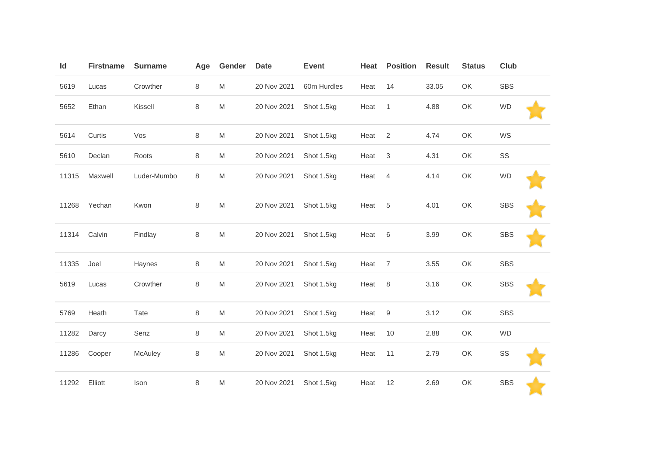| Id    | <b>Firstname</b> | <b>Surname</b> | Age     | Gender | <b>Date</b> | <b>Event</b> | Heat | <b>Position</b> | <b>Result</b> | <b>Status</b> | Club       |
|-------|------------------|----------------|---------|--------|-------------|--------------|------|-----------------|---------------|---------------|------------|
| 5619  | Lucas            | Crowther       | $\,8\,$ | M      | 20 Nov 2021 | 60m Hurdles  | Heat | 14              | 33.05         | OK            | SBS        |
| 5652  | Ethan            | Kissell        | $\,8\,$ | M      | 20 Nov 2021 | Shot 1.5kg   | Heat | $\mathbf{1}$    | 4.88          | OK            | <b>WD</b>  |
| 5614  | Curtis           | Vos            | $\,8\,$ | M      | 20 Nov 2021 | Shot 1.5kg   | Heat | 2               | 4.74          | OK            | WS         |
| 5610  | Declan           | Roots          | 8       | M      | 20 Nov 2021 | Shot 1.5kg   | Heat | $\sqrt{3}$      | 4.31          | OK            | SS         |
| 11315 | Maxwell          | Luder-Mumbo    | 8       | M      | 20 Nov 2021 | Shot 1.5kg   | Heat | $\overline{4}$  | 4.14          | OK            | <b>WD</b>  |
| 11268 | Yechan           | Kwon           | $\,8\,$ | M      | 20 Nov 2021 | Shot 1.5kg   | Heat | 5               | 4.01          | OK            | <b>SBS</b> |
| 11314 | Calvin           | Findlay        | $\,8\,$ | M      | 20 Nov 2021 | Shot 1.5kg   | Heat | 6               | 3.99          | OK            | <b>SBS</b> |
| 11335 | Joel             | Haynes         | 8       | M      | 20 Nov 2021 | Shot 1.5kg   | Heat | $\overline{7}$  | 3.55          | OK            | <b>SBS</b> |
| 5619  | Lucas            | Crowther       | $\,8\,$ | M      | 20 Nov 2021 | Shot 1.5kg   | Heat | 8               | 3.16          | OK            | <b>SBS</b> |
| 5769  | Heath            | Tate           | $\,8\,$ | M      | 20 Nov 2021 | Shot 1.5kg   | Heat | $9\,$           | 3.12          | OK            | <b>SBS</b> |
| 11282 | Darcy            | Senz           | $\,8\,$ | M      | 20 Nov 2021 | Shot 1.5kg   | Heat | 10              | 2.88          | OK            | <b>WD</b>  |
| 11286 | Cooper           | McAuley        | 8       | M      | 20 Nov 2021 | Shot 1.5kg   | Heat | 11              | 2.79          | OK            | SS         |
| 11292 | Elliott          | Ison           | $\,8\,$ | M      | 20 Nov 2021 | Shot 1.5kg   | Heat | 12              | 2.69          | OK            | <b>SBS</b> |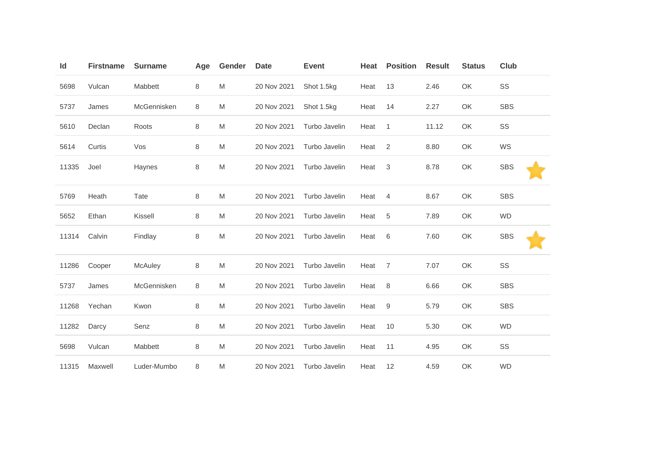| Id    | <b>Firstname</b> | <b>Surname</b> | Age     | Gender    | <b>Date</b> | <b>Event</b>  | Heat | <b>Position</b> | <b>Result</b> | <b>Status</b> | <b>Club</b> |
|-------|------------------|----------------|---------|-----------|-------------|---------------|------|-----------------|---------------|---------------|-------------|
| 5698  | Vulcan           | Mabbett        | 8       | M         | 20 Nov 2021 | Shot 1.5kg    | Heat | 13              | 2.46          | OK            | SS          |
| 5737  | James            | McGennisken    | 8       | M         | 20 Nov 2021 | Shot 1.5kg    | Heat | 14              | 2.27          | OK            | <b>SBS</b>  |
| 5610  | Declan           | Roots          | 8       | M         | 20 Nov 2021 | Turbo Javelin | Heat | $\overline{1}$  | 11.12         | OK            | SS          |
| 5614  | Curtis           | Vos            | 8       | M         | 20 Nov 2021 | Turbo Javelin | Heat | 2               | 8.80          | OK            | WS          |
| 11335 | Joel             | Haynes         | 8       | M         | 20 Nov 2021 | Turbo Javelin | Heat | 3               | 8.78          | OK            | <b>SBS</b>  |
| 5769  | Heath            | Tate           | 8       | ${\sf M}$ | 20 Nov 2021 | Turbo Javelin | Heat | $\overline{4}$  | 8.67          | OK            | <b>SBS</b>  |
| 5652  | Ethan            | Kissell        | 8       | M         | 20 Nov 2021 | Turbo Javelin | Heat | 5               | 7.89          | OK            | <b>WD</b>   |
| 11314 | Calvin           | Findlay        | $\,8\,$ | M         | 20 Nov 2021 | Turbo Javelin | Heat | 6               | 7.60          | OK            | <b>SBS</b>  |
| 11286 | Cooper           | McAuley        | 8       | M         | 20 Nov 2021 | Turbo Javelin | Heat | 7               | 7.07          | OK            | SS          |
| 5737  | James            | McGennisken    | 8       | M         | 20 Nov 2021 | Turbo Javelin | Heat | 8               | 6.66          | OK            | <b>SBS</b>  |
| 11268 | Yechan           | Kwon           | $\,8\,$ | M         | 20 Nov 2021 | Turbo Javelin | Heat | 9               | 5.79          | OK            | <b>SBS</b>  |
| 11282 | Darcy            | Senz           | 8       | M         | 20 Nov 2021 | Turbo Javelin | Heat | 10              | 5.30          | OK            | <b>WD</b>   |
| 5698  | Vulcan           | Mabbett        | 8       | M         | 20 Nov 2021 | Turbo Javelin | Heat | 11              | 4.95          | OK            | SS          |
| 11315 | Maxwell          | Luder-Mumbo    | 8       | M         | 20 Nov 2021 | Turbo Javelin | Heat | 12              | 4.59          | OK            | <b>WD</b>   |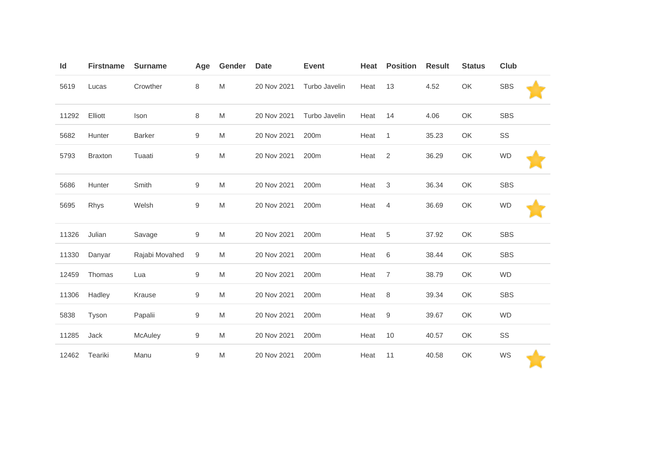| Id    | <b>Firstname</b> | <b>Surname</b> | Age              | Gender | <b>Date</b> | <b>Event</b>  | Heat | <b>Position</b> | <b>Result</b> | <b>Status</b> | Club       |
|-------|------------------|----------------|------------------|--------|-------------|---------------|------|-----------------|---------------|---------------|------------|
| 5619  | Lucas            | Crowther       | 8                | M      | 20 Nov 2021 | Turbo Javelin | Heat | 13              | 4.52          | OK            | <b>SBS</b> |
| 11292 | Elliott          | Ison           | 8                | M      | 20 Nov 2021 | Turbo Javelin | Heat | 14              | 4.06          | OK            | <b>SBS</b> |
| 5682  | Hunter           | <b>Barker</b>  | 9                | M      | 20 Nov 2021 | 200m          | Heat | $\mathbf{1}$    | 35.23         | OK            | SS         |
| 5793  | <b>Braxton</b>   | Tuaati         | 9                | M      | 20 Nov 2021 | 200m          | Heat | $\overline{2}$  | 36.29         | OK            | <b>WD</b>  |
| 5686  | Hunter           | Smith          | 9                | M      | 20 Nov 2021 | 200m          | Heat | $\sqrt{3}$      | 36.34         | OK            | <b>SBS</b> |
| 5695  | Rhys             | Welsh          | $\hbox{9}$       | M      | 20 Nov 2021 | 200m          | Heat | 4               | 36.69         | OK            | <b>WD</b>  |
| 11326 | Julian           | Savage         | 9                | M      | 20 Nov 2021 | 200m          | Heat | 5               | 37.92         | OK            | <b>SBS</b> |
| 11330 | Danyar           | Rajabi Movahed | 9                | M      | 20 Nov 2021 | 200m          | Heat | $\,6$           | 38.44         | OK            | <b>SBS</b> |
| 12459 | Thomas           | Lua            | 9                | M      | 20 Nov 2021 | 200m          | Heat | $\overline{7}$  | 38.79         | OK            | <b>WD</b>  |
| 11306 | Hadley           | Krause         | $\boldsymbol{9}$ | M      | 20 Nov 2021 | 200m          | Heat | 8               | 39.34         | OK            | <b>SBS</b> |
| 5838  | Tyson            | Papalii        | 9                | M      | 20 Nov 2021 | 200m          | Heat | 9               | 39.67         | OK            | <b>WD</b>  |
| 11285 | Jack             | McAuley        | 9                | M      | 20 Nov 2021 | 200m          | Heat | 10              | 40.57         | OK            | SS         |
| 12462 | Teariki          | Manu           | $\boldsymbol{9}$ | M      | 20 Nov 2021 | 200m          | Heat | 11              | 40.58         | OK            | WS         |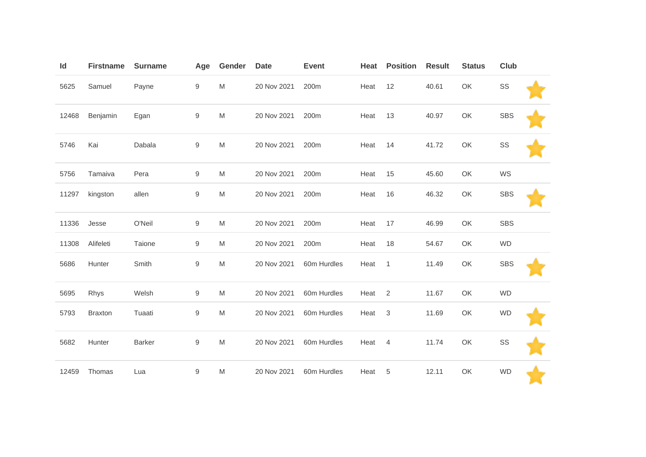| Id    | <b>Firstname</b> | <b>Surname</b> | Age              | Gender | <b>Date</b> | <b>Event</b> | Heat | <b>Position</b> | <b>Result</b> | <b>Status</b> | Club       |  |
|-------|------------------|----------------|------------------|--------|-------------|--------------|------|-----------------|---------------|---------------|------------|--|
| 5625  | Samuel           | Payne          | $\boldsymbol{9}$ | M      | 20 Nov 2021 | 200m         | Heat | 12              | 40.61         | OK            | SS         |  |
| 12468 | Benjamin         | Egan           | $\boldsymbol{9}$ | M      | 20 Nov 2021 | 200m         | Heat | 13              | 40.97         | OK            | <b>SBS</b> |  |
| 5746  | Kai              | Dabala         | $\boldsymbol{9}$ | M      | 20 Nov 2021 | 200m         | Heat | 14              | 41.72         | OK            | SS         |  |
| 5756  | Tamaiva          | Pera           | 9                | M      | 20 Nov 2021 | 200m         | Heat | 15              | 45.60         | OK            | WS         |  |
| 11297 | kingston         | allen          | $\boldsymbol{9}$ | M      | 20 Nov 2021 | 200m         | Heat | 16              | 46.32         | OK            | <b>SBS</b> |  |
| 11336 | Jesse            | O'Neil         | $\boldsymbol{9}$ | M      | 20 Nov 2021 | 200m         | Heat | 17              | 46.99         | OK            | <b>SBS</b> |  |
| 11308 | Alifeleti        | Taione         | 9                | M      | 20 Nov 2021 | 200m         | Heat | 18              | 54.67         | OK            | <b>WD</b>  |  |
| 5686  | Hunter           | Smith          | $\boldsymbol{9}$ | M      | 20 Nov 2021 | 60m Hurdles  | Heat | $\mathbf{1}$    | 11.49         | OK            | <b>SBS</b> |  |
| 5695  | Rhys             | Welsh          | 9                | M      | 20 Nov 2021 | 60m Hurdles  | Heat | $\overline{2}$  | 11.67         | OK            | <b>WD</b>  |  |
| 5793  | <b>Braxton</b>   | Tuaati         | $\boldsymbol{9}$ | M      | 20 Nov 2021 | 60m Hurdles  | Heat | $\sqrt{3}$      | 11.69         | OK            | <b>WD</b>  |  |
| 5682  | Hunter           | <b>Barker</b>  | $\boldsymbol{9}$ | M      | 20 Nov 2021 | 60m Hurdles  | Heat | 4               | 11.74         | OK            | SS         |  |
| 12459 | Thomas           | Lua            | $\boldsymbol{9}$ | M      | 20 Nov 2021 | 60m Hurdles  | Heat | 5               | 12.11         | OK            | <b>WD</b>  |  |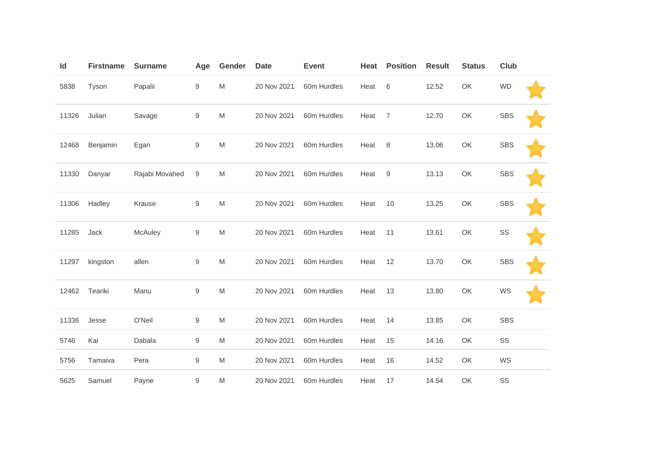| Id    | <b>Firstname</b> | <b>Surname</b> | Age              | Gender    | <b>Date</b> | <b>Event</b> | Heat | <b>Position</b>  | <b>Result</b> | <b>Status</b> | Club       |  |
|-------|------------------|----------------|------------------|-----------|-------------|--------------|------|------------------|---------------|---------------|------------|--|
| 5838  | Tyson            | Papalii        | 9                | M         | 20 Nov 2021 | 60m Hurdles  | Heat | $\,6\,$          | 12.52         | OK            | <b>WD</b>  |  |
| 11326 | Julian           | Savage         | 9                | M         | 20 Nov 2021 | 60m Hurdles  | Heat | $\overline{7}$   | 12.70         | OK            | <b>SBS</b> |  |
| 12468 | Benjamin         | Egan           | $\boldsymbol{9}$ | M         | 20 Nov 2021 | 60m Hurdles  | Heat | 8                | 13.06         | OK            | <b>SBS</b> |  |
| 11330 | Danyar           | Rajabi Movahed | 9                | M         | 20 Nov 2021 | 60m Hurdles  | Heat | $\boldsymbol{9}$ | 13.13         | OK            | <b>SBS</b> |  |
| 11306 | Hadley           | Krause         | 9                | M         | 20 Nov 2021 | 60m Hurdles  | Heat | 10               | 13.25         | OK            | <b>SBS</b> |  |
| 11285 | Jack             | McAuley        | 9                | M         | 20 Nov 2021 | 60m Hurdles  | Heat | 11               | 13.61         | OK            | SS         |  |
| 11297 | kingston         | allen          | $\boldsymbol{9}$ | M         | 20 Nov 2021 | 60m Hurdles  | Heat | 12               | 13.70         | OK            | <b>SBS</b> |  |
| 12462 | Teariki          | Manu           | $\boldsymbol{9}$ | ${\sf M}$ | 20 Nov 2021 | 60m Hurdles  | Heat | 13               | 13.80         | OK            | WS         |  |
| 11336 | Jesse            | O'Neil         | 9                | M         | 20 Nov 2021 | 60m Hurdles  | Heat | 14               | 13.85         | OK            | <b>SBS</b> |  |
| 5746  | Kai              | Dabala         | $\boldsymbol{9}$ | M         | 20 Nov 2021 | 60m Hurdles  | Heat | 15               | 14.16         | OK            | SS         |  |
| 5756  | Tamaiva          | Pera           | $\boldsymbol{9}$ | M         | 20 Nov 2021 | 60m Hurdles  | Heat | 16               | 14.52         | OK            | WS         |  |
| 5625  | Samuel           | Payne          | 9                | M         | 20 Nov 2021 | 60m Hurdles  | Heat | 17               | 14.54         | OK            | SS         |  |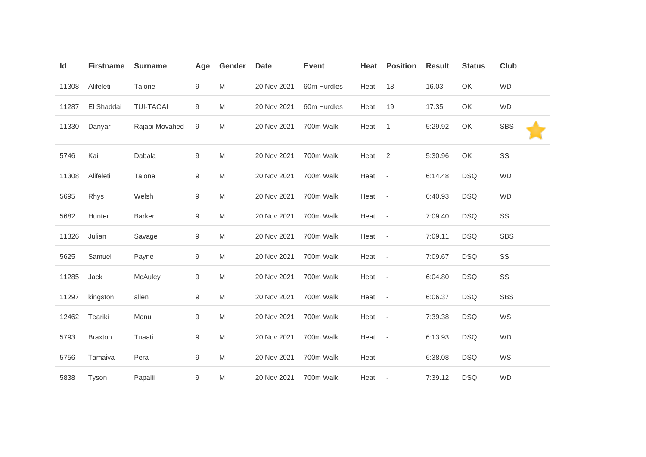| Id    | <b>Firstname</b> | <b>Surname</b>   | Age              | Gender | <b>Date</b> | <b>Event</b> | Heat | <b>Position</b>          | <b>Result</b> | <b>Status</b> | <b>Club</b> |
|-------|------------------|------------------|------------------|--------|-------------|--------------|------|--------------------------|---------------|---------------|-------------|
| 11308 | Alifeleti        | Taione           | $\boldsymbol{9}$ | M      | 20 Nov 2021 | 60m Hurdles  | Heat | 18                       | 16.03         | OK            | <b>WD</b>   |
| 11287 | El Shaddai       | <b>TUI-TAOAI</b> | 9                | M      | 20 Nov 2021 | 60m Hurdles  | Heat | 19                       | 17.35         | OK            | <b>WD</b>   |
| 11330 | Danyar           | Rajabi Movahed   | 9                | M      | 20 Nov 2021 | 700m Walk    | Heat | 1                        | 5:29.92       | OK            | <b>SBS</b>  |
| 5746  | Kai              | Dabala           | $\boldsymbol{9}$ | M      | 20 Nov 2021 | 700m Walk    | Heat | 2                        | 5:30.96       | OK            | SS          |
| 11308 | Alifeleti        | Taione           | 9                | M      | 20 Nov 2021 | 700m Walk    | Heat | $\overline{\phantom{a}}$ | 6:14.48       | <b>DSQ</b>    | <b>WD</b>   |
| 5695  | Rhys             | Welsh            | 9                | M      | 20 Nov 2021 | 700m Walk    | Heat | $\overline{\phantom{a}}$ | 6:40.93       | <b>DSQ</b>    | <b>WD</b>   |
| 5682  | Hunter           | <b>Barker</b>    | $\boldsymbol{9}$ | M      | 20 Nov 2021 | 700m Walk    | Heat | $\overline{\phantom{a}}$ | 7:09.40       | <b>DSQ</b>    | SS          |
| 11326 | Julian           | Savage           | 9                | M      | 20 Nov 2021 | 700m Walk    | Heat | $\overline{\phantom{a}}$ | 7:09.11       | <b>DSQ</b>    | <b>SBS</b>  |
| 5625  | Samuel           | Payne            | $\boldsymbol{9}$ | M      | 20 Nov 2021 | 700m Walk    | Heat | $\overline{\phantom{a}}$ | 7:09.67       | <b>DSQ</b>    | SS          |
| 11285 | Jack             | McAuley          | 9                | M      | 20 Nov 2021 | 700m Walk    | Heat | $\overline{\phantom{a}}$ | 6:04.80       | <b>DSQ</b>    | SS          |
| 11297 | kingston         | allen            | $\boldsymbol{9}$ | M      | 20 Nov 2021 | 700m Walk    | Heat | $\sim$                   | 6:06.37       | <b>DSQ</b>    | <b>SBS</b>  |
| 12462 | Teariki          | Manu             | $\boldsymbol{9}$ | M      | 20 Nov 2021 | 700m Walk    | Heat | $\overline{\phantom{a}}$ | 7:39.38       | <b>DSQ</b>    | WS          |
| 5793  | <b>Braxton</b>   | Tuaati           | 9                | M      | 20 Nov 2021 | 700m Walk    | Heat | $\overline{\phantom{a}}$ | 6:13.93       | <b>DSQ</b>    | <b>WD</b>   |
| 5756  | Tamaiva          | Pera             | $\boldsymbol{9}$ | M      | 20 Nov 2021 | 700m Walk    | Heat | $\sim$                   | 6:38.08       | <b>DSQ</b>    | WS          |
| 5838  | Tyson            | Papalii          | 9                | M      | 20 Nov 2021 | 700m Walk    | Heat | $\overline{\phantom{a}}$ | 7:39.12       | <b>DSQ</b>    | <b>WD</b>   |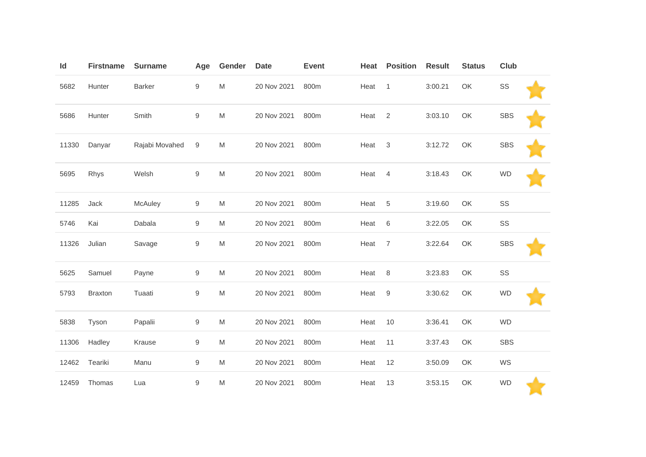| Id    | <b>Firstname</b> | <b>Surname</b> | Age              | Gender | <b>Date</b> | <b>Event</b> | Heat | <b>Position</b>           | <b>Result</b> | <b>Status</b> | <b>Club</b> |  |
|-------|------------------|----------------|------------------|--------|-------------|--------------|------|---------------------------|---------------|---------------|-------------|--|
| 5682  | Hunter           | <b>Barker</b>  | $\boldsymbol{9}$ | M      | 20 Nov 2021 | 800m         | Heat | $\mathbf{1}$              | 3:00.21       | OK            | SS          |  |
| 5686  | Hunter           | Smith          | 9                | M      | 20 Nov 2021 | 800m         | Heat | 2                         | 3:03.10       | OK            | <b>SBS</b>  |  |
| 11330 | Danyar           | Rajabi Movahed | 9                | M      | 20 Nov 2021 | 800m         | Heat | $\ensuremath{\mathsf{3}}$ | 3:12.72       | OK            | <b>SBS</b>  |  |
| 5695  | Rhys             | Welsh          | $\boldsymbol{9}$ | M      | 20 Nov 2021 | 800m         | Heat | $\overline{4}$            | 3:18.43       | OK            | <b>WD</b>   |  |
| 11285 | Jack             | McAuley        | 9                | M      | 20 Nov 2021 | 800m         | Heat | $\,$ 5 $\,$               | 3:19.60       | OK            | SS          |  |
| 5746  | Kai              | Dabala         | 9                | M      | 20 Nov 2021 | 800m         | Heat | $\,6$                     | 3:22.05       | OK            | SS          |  |
| 11326 | Julian           | Savage         | $\boldsymbol{9}$ | M      | 20 Nov 2021 | 800m         | Heat | $\overline{7}$            | 3:22.64       | OK            | <b>SBS</b>  |  |
| 5625  | Samuel           | Payne          | 9                | M      | 20 Nov 2021 | 800m         | Heat | 8                         | 3:23.83       | OK            | SS          |  |
| 5793  | <b>Braxton</b>   | Tuaati         | $\boldsymbol{9}$ | M      | 20 Nov 2021 | 800m         | Heat | 9                         | 3:30.62       | OK            | <b>WD</b>   |  |
| 5838  | Tyson            | Papalii        | 9                | M      | 20 Nov 2021 | 800m         | Heat | 10                        | 3:36.41       | OK            | <b>WD</b>   |  |
| 11306 | Hadley           | Krause         | 9                | M      | 20 Nov 2021 | 800m         | Heat | 11                        | 3:37.43       | OK            | <b>SBS</b>  |  |
| 12462 | Teariki          | Manu           | 9                | M      | 20 Nov 2021 | 800m         | Heat | 12                        | 3:50.09       | OK            | WS          |  |
| 12459 | Thomas           | Lua            | $\boldsymbol{9}$ | M      | 20 Nov 2021 | 800m         | Heat | 13                        | 3:53.15       | OK            | <b>WD</b>   |  |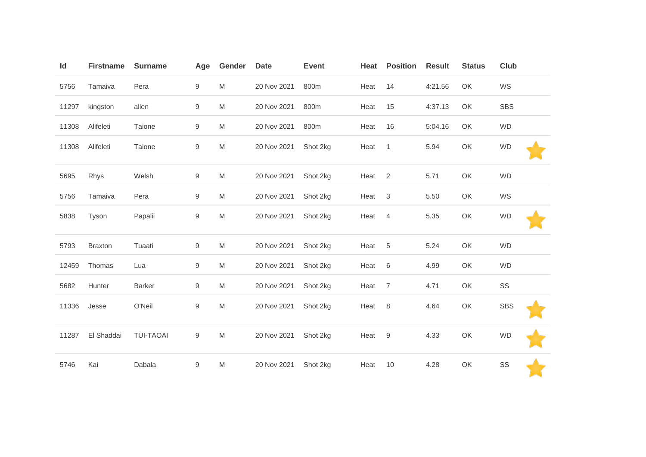| Id    | <b>Firstname</b> | <b>Surname</b>   | Age              | Gender | <b>Date</b> | <b>Event</b> | Heat | <b>Position</b> | <b>Result</b> | <b>Status</b> | Club       |  |
|-------|------------------|------------------|------------------|--------|-------------|--------------|------|-----------------|---------------|---------------|------------|--|
| 5756  | Tamaiva          | Pera             | 9                | M      | 20 Nov 2021 | 800m         | Heat | 14              | 4:21.56       | OK            | WS         |  |
| 11297 | kingston         | allen            | $\boldsymbol{9}$ | M      | 20 Nov 2021 | 800m         | Heat | 15              | 4:37.13       | OK            | <b>SBS</b> |  |
| 11308 | Alifeleti        | Taione           | 9                | M      | 20 Nov 2021 | 800m         | Heat | 16              | 5:04.16       | OK            | <b>WD</b>  |  |
| 11308 | Alifeleti        | Taione           | 9                | M      | 20 Nov 2021 | Shot 2kg     | Heat | $\mathbf{1}$    | 5.94          | OK            | <b>WD</b>  |  |
| 5695  | Rhys             | Welsh            | $\boldsymbol{9}$ | M      | 20 Nov 2021 | Shot 2kg     | Heat | 2               | 5.71          | OK            | <b>WD</b>  |  |
| 5756  | Tamaiva          | Pera             | $\boldsymbol{9}$ | M      | 20 Nov 2021 | Shot 2kg     | Heat | 3               | 5.50          | OK            | WS         |  |
| 5838  | Tyson            | Papalii          | $\boldsymbol{9}$ | M      | 20 Nov 2021 | Shot 2kg     | Heat | $\overline{4}$  | 5.35          | OK            | <b>WD</b>  |  |
| 5793  | <b>Braxton</b>   | Tuaati           | 9                | M      | 20 Nov 2021 | Shot 2kg     | Heat | $\sqrt{5}$      | 5.24          | OK            | <b>WD</b>  |  |
| 12459 | Thomas           | Lua              | 9                | M      | 20 Nov 2021 | Shot 2kg     | Heat | 6               | 4.99          | OK            | <b>WD</b>  |  |
| 5682  | Hunter           | <b>Barker</b>    | $\boldsymbol{9}$ | M      | 20 Nov 2021 | Shot 2kg     | Heat | $\overline{7}$  | 4.71          | OK            | SS         |  |
| 11336 | Jesse            | O'Neil           | 9                | M      | 20 Nov 2021 | Shot 2kg     | Heat | 8               | 4.64          | OK            | <b>SBS</b> |  |
| 11287 | El Shaddai       | <b>TUI-TAOAI</b> | 9                | M      | 20 Nov 2021 | Shot 2kg     | Heat | 9               | 4.33          | OK            | <b>WD</b>  |  |
| 5746  | Kai              | Dabala           | 9                | M      | 20 Nov 2021 | Shot 2kg     | Heat | 10              | 4.28          | OK            | SS         |  |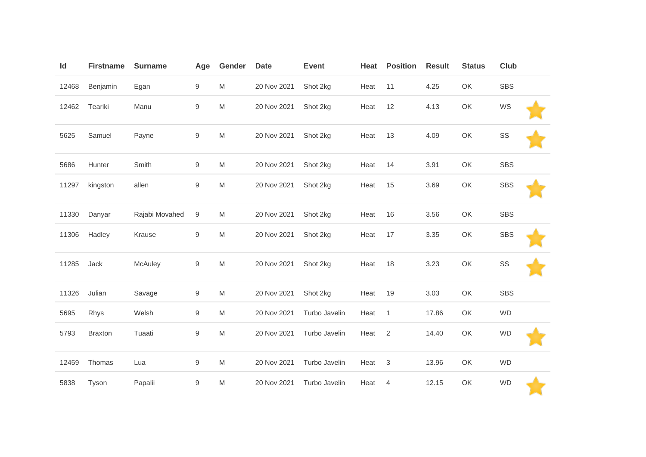| Id    | <b>Firstname</b> | <b>Surname</b> | Age              | Gender | <b>Date</b> | <b>Event</b>  | Heat | <b>Position</b> | <b>Result</b> | <b>Status</b> | Club       |
|-------|------------------|----------------|------------------|--------|-------------|---------------|------|-----------------|---------------|---------------|------------|
| 12468 | Benjamin         | Egan           | $\boldsymbol{9}$ | M      | 20 Nov 2021 | Shot 2kg      | Heat | 11              | 4.25          | OK            | SBS        |
| 12462 | Teariki          | Manu           | $\boldsymbol{9}$ | M      | 20 Nov 2021 | Shot 2kg      | Heat | 12              | 4.13          | OK            | WS         |
| 5625  | Samuel           | Payne          | $\boldsymbol{9}$ | M      | 20 Nov 2021 | Shot 2kg      | Heat | 13              | 4.09          | OK            | SS         |
| 5686  | Hunter           | Smith          | 9                | M      | 20 Nov 2021 | Shot 2kg      | Heat | 14              | 3.91          | OK            | <b>SBS</b> |
| 11297 | kingston         | allen          | $\boldsymbol{9}$ | M      | 20 Nov 2021 | Shot 2kg      | Heat | 15              | 3.69          | OK            | <b>SBS</b> |
| 11330 | Danyar           | Rajabi Movahed | 9                | M      | 20 Nov 2021 | Shot 2kg      | Heat | 16              | 3.56          | OK            | <b>SBS</b> |
| 11306 | Hadley           | Krause         | $\boldsymbol{9}$ | M      | 20 Nov 2021 | Shot 2kg      | Heat | 17              | 3.35          | OK            | <b>SBS</b> |
| 11285 | Jack             | McAuley        | $\boldsymbol{9}$ | M      | 20 Nov 2021 | Shot 2kg      | Heat | 18              | 3.23          | OK            | SS         |
| 11326 | Julian           | Savage         | $\boldsymbol{9}$ | M      | 20 Nov 2021 | Shot 2kg      | Heat | 19              | 3.03          | OK            | SBS        |
| 5695  | Rhys             | Welsh          | $\boldsymbol{9}$ | M      | 20 Nov 2021 | Turbo Javelin | Heat | $\mathbf{1}$    | 17.86         | OK            | <b>WD</b>  |
| 5793  | <b>Braxton</b>   | Tuaati         | $\boldsymbol{9}$ | M      | 20 Nov 2021 | Turbo Javelin | Heat | 2               | 14.40         | OK            | <b>WD</b>  |
| 12459 | Thomas           | Lua            | 9                | M      | 20 Nov 2021 | Turbo Javelin | Heat | $\sqrt{3}$      | 13.96         | OK            | <b>WD</b>  |
| 5838  | Tyson            | Papalii        | $\boldsymbol{9}$ | M      | 20 Nov 2021 | Turbo Javelin | Heat | 4               | 12.15         | OK            | <b>WD</b>  |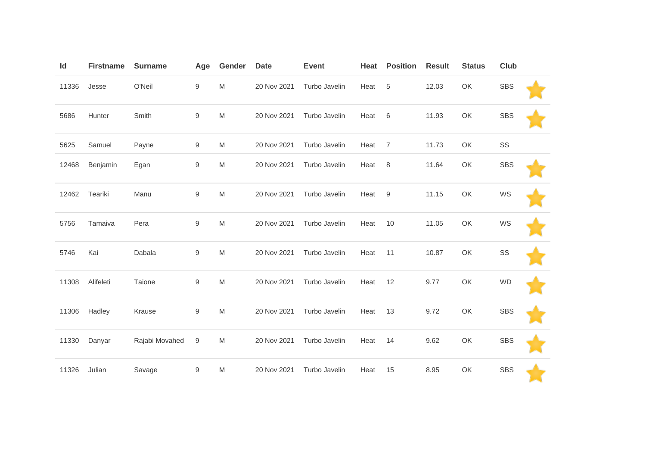| Id    | <b>Firstname</b> | <b>Surname</b> | Age              | Gender | <b>Date</b> | <b>Event</b>  | Heat | <b>Position</b> | <b>Result</b> | <b>Status</b> | Club       |  |
|-------|------------------|----------------|------------------|--------|-------------|---------------|------|-----------------|---------------|---------------|------------|--|
| 11336 | Jesse            | O'Neil         | 9                | M      | 20 Nov 2021 | Turbo Javelin | Heat | 5               | 12.03         | OK            | <b>SBS</b> |  |
| 5686  | Hunter           | Smith          | $\boldsymbol{9}$ | M      | 20 Nov 2021 | Turbo Javelin | Heat | 6               | 11.93         | OK            | <b>SBS</b> |  |
| 5625  | Samuel           | Payne          | $\boldsymbol{9}$ | M      | 20 Nov 2021 | Turbo Javelin | Heat | $\overline{7}$  | 11.73         | OK            | SS         |  |
| 12468 | Benjamin         | Egan           | 9                | M      | 20 Nov 2021 | Turbo Javelin | Heat | 8               | 11.64         | OK            | <b>SBS</b> |  |
| 12462 | Teariki          | Manu           | $\boldsymbol{9}$ | M      | 20 Nov 2021 | Turbo Javelin | Heat | 9               | 11.15         | OK            | WS         |  |
| 5756  | Tamaiva          | Pera           | 9                | M      | 20 Nov 2021 | Turbo Javelin | Heat | 10              | 11.05         | OK            | WS         |  |
| 5746  | Kai              | Dabala         | $\boldsymbol{9}$ | M      | 20 Nov 2021 | Turbo Javelin | Heat | 11              | 10.87         | OK            | SS         |  |
| 11308 | Alifeleti        | Taione         | 9                | M      | 20 Nov 2021 | Turbo Javelin | Heat | 12              | 9.77          | OK            | <b>WD</b>  |  |
| 11306 | Hadley           | Krause         | $\boldsymbol{9}$ | M      | 20 Nov 2021 | Turbo Javelin | Heat | 13              | 9.72          | OK            | <b>SBS</b> |  |
| 11330 | Danyar           | Rajabi Movahed | $\boldsymbol{9}$ | M      | 20 Nov 2021 | Turbo Javelin | Heat | 14              | 9.62          | OK            | <b>SBS</b> |  |
| 11326 | Julian           | Savage         | $\boldsymbol{9}$ | M      | 20 Nov 2021 | Turbo Javelin | Heat | 15              | 8.95          | OK            | <b>SBS</b> |  |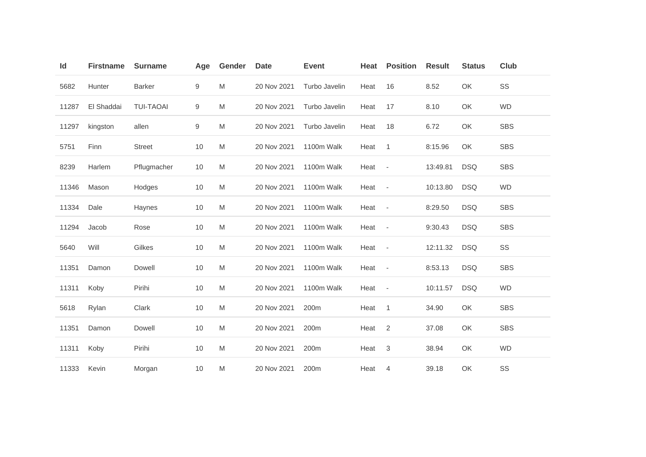| Id    | <b>Firstname</b> | <b>Surname</b>   | Age              | Gender | <b>Date</b> | <b>Event</b>  | Heat | <b>Position</b>          | <b>Result</b> | <b>Status</b> | Club       |
|-------|------------------|------------------|------------------|--------|-------------|---------------|------|--------------------------|---------------|---------------|------------|
| 5682  | Hunter           | <b>Barker</b>    | $\boldsymbol{9}$ | M      | 20 Nov 2021 | Turbo Javelin | Heat | 16                       | 8.52          | OK            | SS         |
| 11287 | El Shaddai       | <b>TUI-TAOAI</b> | $\boldsymbol{9}$ | M      | 20 Nov 2021 | Turbo Javelin | Heat | 17                       | 8.10          | OK            | <b>WD</b>  |
| 11297 | kingston         | allen            | $\boldsymbol{9}$ | M      | 20 Nov 2021 | Turbo Javelin | Heat | 18                       | 6.72          | OK            | <b>SBS</b> |
| 5751  | Finn             | <b>Street</b>    | 10               | M      | 20 Nov 2021 | 1100m Walk    | Heat | $\mathbf{1}$             | 8:15.96       | OK            | <b>SBS</b> |
| 8239  | Harlem           | Pflugmacher      | 10               | M      | 20 Nov 2021 | 1100m Walk    | Heat | $\overline{\phantom{a}}$ | 13:49.81      | <b>DSQ</b>    | <b>SBS</b> |
| 11346 | Mason            | Hodges           | 10               | M      | 20 Nov 2021 | 1100m Walk    | Heat | $\overline{\phantom{a}}$ | 10:13.80      | <b>DSQ</b>    | <b>WD</b>  |
| 11334 | Dale             | Haynes           | 10               | M      | 20 Nov 2021 | 1100m Walk    | Heat | $\overline{\phantom{a}}$ | 8:29.50       | <b>DSQ</b>    | <b>SBS</b> |
| 11294 | Jacob            | Rose             | 10               | M      | 20 Nov 2021 | 1100m Walk    | Heat | $\overline{\phantom{a}}$ | 9:30.43       | <b>DSQ</b>    | <b>SBS</b> |
| 5640  | Will             | Gilkes           | 10               | M      | 20 Nov 2021 | 1100m Walk    | Heat | $\overline{\phantom{a}}$ | 12:11.32      | <b>DSQ</b>    | SS         |
| 11351 | Damon            | Dowell           | 10               | M      | 20 Nov 2021 | 1100m Walk    | Heat | $\overline{\phantom{a}}$ | 8:53.13       | <b>DSQ</b>    | <b>SBS</b> |
| 11311 | Koby             | Pirihi           | 10               | M      | 20 Nov 2021 | 1100m Walk    | Heat | $\overline{\phantom{a}}$ | 10:11.57      | <b>DSQ</b>    | <b>WD</b>  |
| 5618  | Rylan            | Clark            | 10               | M      | 20 Nov 2021 | 200m          | Heat | $\mathbf{1}$             | 34.90         | OK            | <b>SBS</b> |
| 11351 | Damon            | Dowell           | 10               | M      | 20 Nov 2021 | 200m          | Heat | 2                        | 37.08         | OK            | <b>SBS</b> |
| 11311 | Koby             | Pirihi           | 10               | M      | 20 Nov 2021 | 200m          | Heat | $\sqrt{3}$               | 38.94         | OK            | <b>WD</b>  |
| 11333 | Kevin            | Morgan           | 10               | M      | 20 Nov 2021 | 200m          | Heat | $\overline{4}$           | 39.18         | OK            | SS         |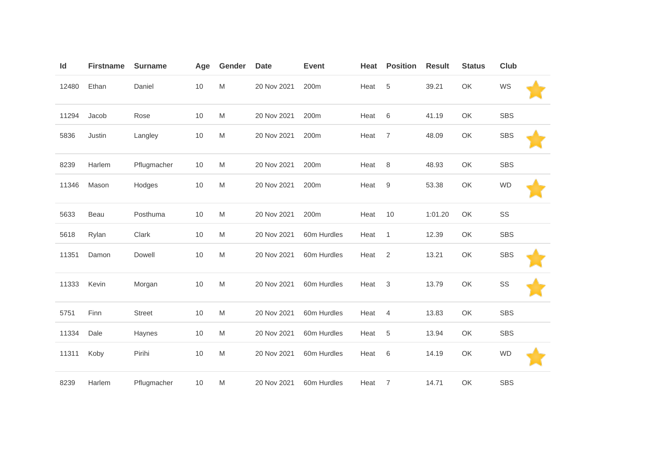| Id    | <b>Firstname</b> | <b>Surname</b> | Age | Gender | <b>Date</b> | <b>Event</b> | Heat | <b>Position</b>  | <b>Result</b> | <b>Status</b> | Club       |  |
|-------|------------------|----------------|-----|--------|-------------|--------------|------|------------------|---------------|---------------|------------|--|
| 12480 | Ethan            | Daniel         | 10  | M      | 20 Nov 2021 | 200m         | Heat | $\,$ 5 $\,$      | 39.21         | OK            | WS         |  |
| 11294 | Jacob            | Rose           | 10  | M      | 20 Nov 2021 | 200m         | Heat | 6                | 41.19         | OK            | <b>SBS</b> |  |
| 5836  | Justin           | Langley        | 10  | M      | 20 Nov 2021 | 200m         | Heat | $\overline{7}$   | 48.09         | OK            | <b>SBS</b> |  |
| 8239  | Harlem           | Pflugmacher    | 10  | M      | 20 Nov 2021 | 200m         | Heat | 8                | 48.93         | OK            | <b>SBS</b> |  |
| 11346 | Mason            | Hodges         | 10  | M      | 20 Nov 2021 | 200m         | Heat | $\boldsymbol{9}$ | 53.38         | OK            | <b>WD</b>  |  |
| 5633  | Beau             | Posthuma       | 10  | M      | 20 Nov 2021 | 200m         | Heat | 10               | 1:01.20       | OK            | SS         |  |
| 5618  | Rylan            | Clark          | 10  | M      | 20 Nov 2021 | 60m Hurdles  | Heat | $\mathbf{1}$     | 12.39         | OK            | SBS        |  |
| 11351 | Damon            | Dowell         | 10  | M      | 20 Nov 2021 | 60m Hurdles  | Heat | $\overline{2}$   | 13.21         | OK            | <b>SBS</b> |  |
| 11333 | Kevin            | Morgan         | 10  | M      | 20 Nov 2021 | 60m Hurdles  | Heat | $\sqrt{3}$       | 13.79         | OK            | SS         |  |
| 5751  | Finn             | <b>Street</b>  | 10  | M      | 20 Nov 2021 | 60m Hurdles  | Heat | 4                | 13.83         | OK            | SBS        |  |
| 11334 | Dale             | Haynes         | 10  | M      | 20 Nov 2021 | 60m Hurdles  | Heat | $\sqrt{5}$       | 13.94         | OK            | <b>SBS</b> |  |
| 11311 | Koby             | Pirihi         | 10  | M      | 20 Nov 2021 | 60m Hurdles  | Heat | 6                | 14.19         | OK            | <b>WD</b>  |  |
| 8239  | Harlem           | Pflugmacher    | 10  | M      | 20 Nov 2021 | 60m Hurdles  | Heat | 7                | 14.71         | OK            | <b>SBS</b> |  |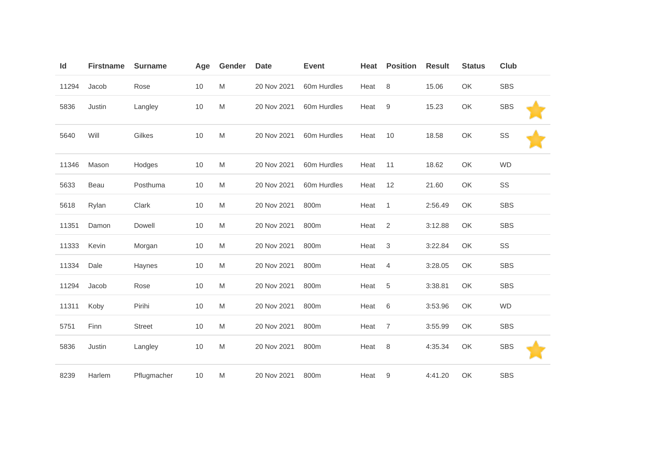| Id    | <b>Firstname</b> | <b>Surname</b> | Age | Gender | <b>Date</b> | <b>Event</b> | Heat | <b>Position</b>  | <b>Result</b> | <b>Status</b> | Club       |
|-------|------------------|----------------|-----|--------|-------------|--------------|------|------------------|---------------|---------------|------------|
| 11294 | Jacob            | Rose           | 10  | M      | 20 Nov 2021 | 60m Hurdles  | Heat | $\,8\,$          | 15.06         | OK            | <b>SBS</b> |
| 5836  | Justin           | Langley        | 10  | M      | 20 Nov 2021 | 60m Hurdles  | Heat | $\boldsymbol{9}$ | 15.23         | OK            | <b>SBS</b> |
| 5640  | Will             | Gilkes         | 10  | M      | 20 Nov 2021 | 60m Hurdles  | Heat | 10               | 18.58         | OK            | SS         |
| 11346 | Mason            | Hodges         | 10  | M      | 20 Nov 2021 | 60m Hurdles  | Heat | 11               | 18.62         | OK            | <b>WD</b>  |
| 5633  | Beau             | Posthuma       | 10  | M      | 20 Nov 2021 | 60m Hurdles  | Heat | 12               | 21.60         | OK            | SS         |
| 5618  | Rylan            | Clark          | 10  | M      | 20 Nov 2021 | 800m         | Heat | $\mathbf{1}$     | 2:56.49       | OK            | <b>SBS</b> |
| 11351 | Damon            | Dowell         | 10  | M      | 20 Nov 2021 | 800m         | Heat | $\overline{2}$   | 3:12.88       | OK            | <b>SBS</b> |
| 11333 | Kevin            | Morgan         | 10  | M      | 20 Nov 2021 | 800m         | Heat | $\sqrt{3}$       | 3:22.84       | OK            | SS         |
| 11334 | Dale             | Haynes         | 10  | M      | 20 Nov 2021 | 800m         | Heat | 4                | 3:28.05       | OK            | <b>SBS</b> |
| 11294 | Jacob            | Rose           | 10  | M      | 20 Nov 2021 | 800m         | Heat | $\sqrt{5}$       | 3:38.81       | OK            | <b>SBS</b> |
| 11311 | Koby             | Pirihi         | 10  | M      | 20 Nov 2021 | 800m         | Heat | 6                | 3:53.96       | OK            | <b>WD</b>  |
| 5751  | Finn             | <b>Street</b>  | 10  | M      | 20 Nov 2021 | 800m         | Heat | 7                | 3:55.99       | OK            | <b>SBS</b> |
| 5836  | Justin           | Langley        | 10  | M      | 20 Nov 2021 | 800m         | Heat | 8                | 4:35.34       | OK            | <b>SBS</b> |
| 8239  | Harlem           | Pflugmacher    | 10  | M      | 20 Nov 2021 | 800m         | Heat | 9                | 4:41.20       | OK            | <b>SBS</b> |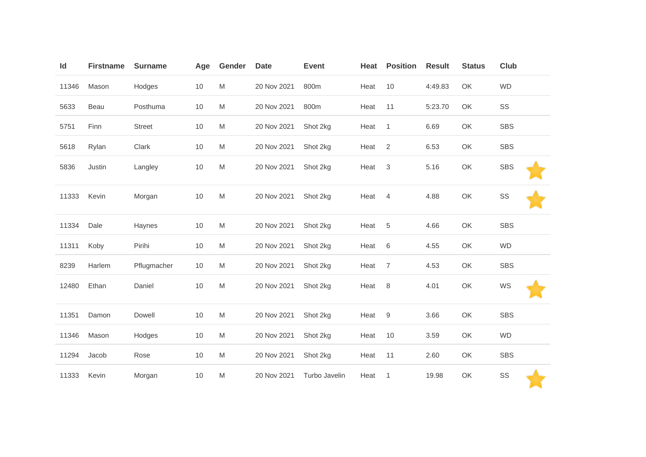| Id    | <b>Firstname</b> | <b>Surname</b> | Age | Gender | <b>Date</b> | <b>Event</b>  | Heat | <b>Position</b> | <b>Result</b> | <b>Status</b> | Club       |
|-------|------------------|----------------|-----|--------|-------------|---------------|------|-----------------|---------------|---------------|------------|
| 11346 | Mason            | Hodges         | 10  | M      | 20 Nov 2021 | 800m          | Heat | 10              | 4:49.83       | OK            | <b>WD</b>  |
| 5633  | Beau             | Posthuma       | 10  | M      | 20 Nov 2021 | 800m          | Heat | 11              | 5:23.70       | OK            | SS         |
| 5751  | Finn             | <b>Street</b>  | 10  | M      | 20 Nov 2021 | Shot 2kg      | Heat | $\mathbf{1}$    | 6.69          | OK            | <b>SBS</b> |
| 5618  | Rylan            | Clark          | 10  | M      | 20 Nov 2021 | Shot 2kg      | Heat | 2               | 6.53          | OK            | <b>SBS</b> |
| 5836  | Justin           | Langley        | 10  | M      | 20 Nov 2021 | Shot 2kg      | Heat | $\sqrt{3}$      | 5.16          | OK            | <b>SBS</b> |
| 11333 | Kevin            | Morgan         | 10  | M      | 20 Nov 2021 | Shot 2kg      | Heat | $\overline{4}$  | 4.88          | OK            | SS         |
| 11334 | Dale             | Haynes         | 10  | M      | 20 Nov 2021 | Shot 2kg      | Heat | 5               | 4.66          | OK            | <b>SBS</b> |
| 11311 | Koby             | Pirihi         | 10  | M      | 20 Nov 2021 | Shot 2kg      | Heat | 6               | 4.55          | OK            | <b>WD</b>  |
| 8239  | Harlem           | Pflugmacher    | 10  | M      | 20 Nov 2021 | Shot 2kg      | Heat | $\overline{7}$  | 4.53          | OK            | <b>SBS</b> |
| 12480 | Ethan            | Daniel         | 10  | M      | 20 Nov 2021 | Shot 2kg      | Heat | 8               | 4.01          | OK            | WS         |
| 11351 | Damon            | Dowell         | 10  | M      | 20 Nov 2021 | Shot 2kg      | Heat | 9               | 3.66          | OK            | <b>SBS</b> |
| 11346 | Mason            | Hodges         | 10  | M      | 20 Nov 2021 | Shot 2kg      | Heat | 10              | 3.59          | OK            | <b>WD</b>  |
| 11294 | Jacob            | Rose           | 10  | M      | 20 Nov 2021 | Shot 2kg      | Heat | 11              | 2.60          | OK            | <b>SBS</b> |
| 11333 | Kevin            | Morgan         | 10  | M      | 20 Nov 2021 | Turbo Javelin | Heat | $\mathbf{1}$    | 19.98         | OK            | SS         |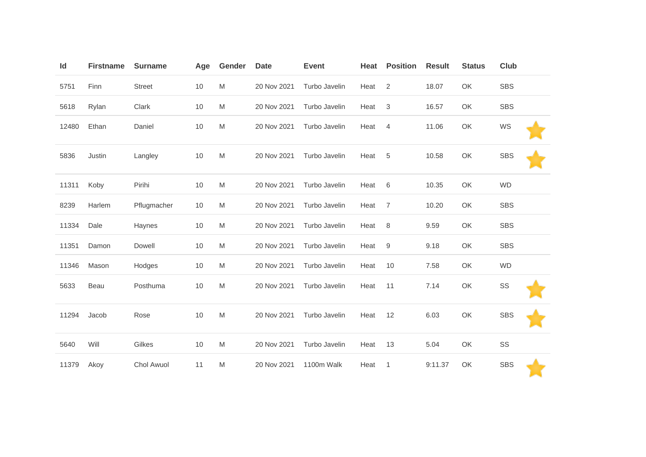| Id    | <b>Firstname</b> | <b>Surname</b> | Age | Gender                                                                                                     | <b>Date</b> | <b>Event</b>  | Heat | <b>Position</b>           | <b>Result</b> | <b>Status</b> | <b>Club</b> |
|-------|------------------|----------------|-----|------------------------------------------------------------------------------------------------------------|-------------|---------------|------|---------------------------|---------------|---------------|-------------|
| 5751  | Finn             | <b>Street</b>  | 10  | M                                                                                                          | 20 Nov 2021 | Turbo Javelin | Heat | 2                         | 18.07         | OK            | <b>SBS</b>  |
| 5618  | Rylan            | Clark          | 10  | M                                                                                                          | 20 Nov 2021 | Turbo Javelin | Heat | $\ensuremath{\mathsf{3}}$ | 16.57         | OK            | <b>SBS</b>  |
| 12480 | Ethan            | Daniel         | 10  | M                                                                                                          | 20 Nov 2021 | Turbo Javelin | Heat | $\overline{4}$            | 11.06         | OK            | WS          |
| 5836  | Justin           | Langley        | 10  | $\mathsf{M}% _{T}=\mathsf{M}_{T}\!\left( a,b\right) ,\ \mathsf{M}_{T}=\mathsf{M}_{T}\!\left( a,b\right) ,$ | 20 Nov 2021 | Turbo Javelin | Heat | $\overline{5}$            | 10.58         | OK            | <b>SBS</b>  |
| 11311 | Koby             | Pirihi         | 10  | M                                                                                                          | 20 Nov 2021 | Turbo Javelin | Heat | 6                         | 10.35         | OK            | <b>WD</b>   |
| 8239  | Harlem           | Pflugmacher    | 10  | M                                                                                                          | 20 Nov 2021 | Turbo Javelin | Heat | $\overline{7}$            | 10.20         | OK            | <b>SBS</b>  |
| 11334 | Dale             | Haynes         | 10  | M                                                                                                          | 20 Nov 2021 | Turbo Javelin | Heat | 8                         | 9.59          | OK            | <b>SBS</b>  |
| 11351 | Damon            | Dowell         | 10  | M                                                                                                          | 20 Nov 2021 | Turbo Javelin | Heat | 9                         | 9.18          | OK            | <b>SBS</b>  |
| 11346 | Mason            | Hodges         | 10  | M                                                                                                          | 20 Nov 2021 | Turbo Javelin | Heat | 10                        | 7.58          | OK            | <b>WD</b>   |
| 5633  | Beau             | Posthuma       | 10  | M                                                                                                          | 20 Nov 2021 | Turbo Javelin | Heat | 11                        | 7.14          | OK            | SS          |
| 11294 | Jacob            | Rose           | 10  | M                                                                                                          | 20 Nov 2021 | Turbo Javelin | Heat | 12                        | 6.03          | OK            | <b>SBS</b>  |
| 5640  | Will             | Gilkes         | 10  | M                                                                                                          | 20 Nov 2021 | Turbo Javelin | Heat | 13                        | 5.04          | OK            | SS          |
| 11379 | Akoy             | Chol Awuol     | 11  | M                                                                                                          | 20 Nov 2021 | 1100m Walk    | Heat | $\mathbf{1}$              | 9:11.37       | OK            | <b>SBS</b>  |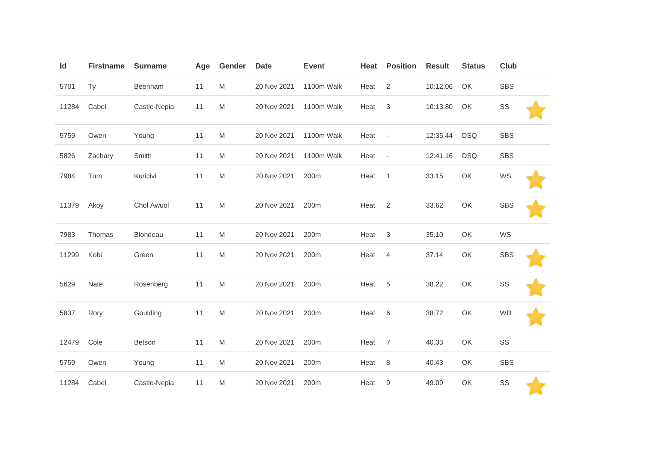| Id    | <b>Firstname</b> | <b>Surname</b> | Age | Gender                                                                                                     | <b>Date</b> | <b>Event</b>     | Heat | <b>Position</b>          | <b>Result</b> | <b>Status</b> | <b>Club</b> |  |
|-------|------------------|----------------|-----|------------------------------------------------------------------------------------------------------------|-------------|------------------|------|--------------------------|---------------|---------------|-------------|--|
| 5701  | Ty               | Beenham        | 11  | $\mathsf{M}% _{T}=\mathsf{M}_{T}\!\left( a,b\right) ,\ \mathsf{M}_{T}=\mathsf{M}_{T}\!\left( a,b\right) ,$ | 20 Nov 2021 | 1100m Walk       | Heat | $\overline{2}$           | 10:12.06      | OK            | <b>SBS</b>  |  |
| 11284 | Cabel            | Castle-Nepia   | 11  | $\mathsf{M}% _{T}=\mathsf{M}_{T}\!\left( a,b\right) ,\ \mathsf{M}_{T}=\mathsf{M}_{T}\!\left( a,b\right) ,$ | 20 Nov 2021 | 1100m Walk       | Heat | 3                        | 10:13.80      | OK            | SS          |  |
| 5759  | Owen             | Young          | 11  | $\mathsf{M}% _{T}=\mathsf{M}_{T}\!\left( a,b\right) ,\ \mathsf{M}_{T}=\mathsf{M}_{T}\!\left( a,b\right) ,$ | 20 Nov 2021 | 1100m Walk       | Heat | $\overline{\phantom{a}}$ | 12:35.44      | <b>DSQ</b>    | <b>SBS</b>  |  |
| 5826  | Zachary          | Smith          | 11  | M                                                                                                          | 20 Nov 2021 | 1100m Walk       | Heat | $\overline{\phantom{a}}$ | 12:41.16      | <b>DSQ</b>    | <b>SBS</b>  |  |
| 7984  | Tom              | Kuricivi       | 11  | M                                                                                                          | 20 Nov 2021 | 200m             | Heat | $\mathbf{1}$             | 33.15         | OK            | WS          |  |
| 11379 | Akoy             | Chol Awuol     | 11  | $\mathsf{M}% _{T}=\mathsf{M}_{T}\!\left( a,b\right) ,\ \mathsf{M}_{T}=\mathsf{M}_{T}\!\left( a,b\right) ,$ | 20 Nov 2021 | 200m             | Heat | $\sqrt{2}$               | 33.62         | OK            | <b>SBS</b>  |  |
| 7983  | Thomas           | Blondeau       | 11  | M                                                                                                          | 20 Nov 2021 | 200m             | Heat | 3                        | 35.10         | OK            | WS          |  |
| 11299 | Kobi             | Green          | 11  | $\mathsf{M}% _{T}=\mathsf{M}_{T}\!\left( a,b\right) ,\ \mathsf{M}_{T}=\mathsf{M}_{T}\!\left( a,b\right) ,$ | 20 Nov 2021 | 200m             | Heat | $\overline{4}$           | 37.14         | OK            | <b>SBS</b>  |  |
| 5629  | Nate             | Rosenberg      | 11  | $\mathsf{M}% _{T}=\mathsf{M}_{T}\!\left( a,b\right) ,\ \mathsf{M}_{T}=\mathsf{M}_{T}\!\left( a,b\right) ,$ | 20 Nov 2021 | 200m             | Heat | 5                        | 38.22         | OK            | SS          |  |
| 5837  | Rory             | Goulding       | 11  | M                                                                                                          | 20 Nov 2021 | 200m             | Heat | 6                        | 38.72         | OK            | <b>WD</b>   |  |
| 12479 | Cole             | Betson         | 11  | $\mathsf{M}% _{T}=\mathsf{M}_{T}\!\left( a,b\right) ,\ \mathsf{M}_{T}=\mathsf{M}_{T}\!\left( a,b\right) ,$ | 20 Nov 2021 | 200m             | Heat | $\overline{7}$           | 40.33         | OK            | SS          |  |
| 5759  | Owen             | Young          | 11  | M                                                                                                          | 20 Nov 2021 | 200m             | Heat | $\,8\,$                  | 40.43         | OK            | <b>SBS</b>  |  |
| 11284 | Cabel            | Castle-Nepia   | 11  | $\mathsf{M}% _{T}=\mathsf{M}_{T}\!\left( a,b\right) ,\ \mathsf{M}_{T}=\mathsf{M}_{T}\!\left( a,b\right) ,$ | 20 Nov 2021 | 200 <sub>m</sub> | Heat | 9                        | 49.09         | OK            | SS          |  |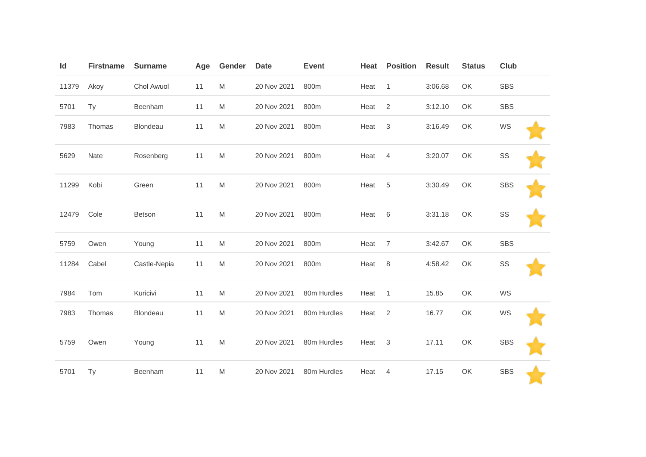| Id    | <b>Firstname</b> | <b>Surname</b> | Age | Gender | <b>Date</b> | <b>Event</b> | Heat | <b>Position</b> | <b>Result</b> | <b>Status</b> | Club       |  |
|-------|------------------|----------------|-----|--------|-------------|--------------|------|-----------------|---------------|---------------|------------|--|
| 11379 | Akoy             | Chol Awuol     | 11  | M      | 20 Nov 2021 | 800m         | Heat | $\mathbf{1}$    | 3:06.68       | OK            | <b>SBS</b> |  |
| 5701  | Ty               | Beenham        | 11  | M      | 20 Nov 2021 | 800m         | Heat | $\sqrt{2}$      | 3:12.10       | OK            | <b>SBS</b> |  |
| 7983  | Thomas           | Blondeau       | 11  | M      | 20 Nov 2021 | 800m         | Heat | $\sqrt{3}$      | 3:16.49       | OK            | WS         |  |
| 5629  | Nate             | Rosenberg      | 11  | M      | 20 Nov 2021 | 800m         | Heat | $\overline{4}$  | 3:20.07       | OK            | SS         |  |
| 11299 | Kobi             | Green          | 11  | M      | 20 Nov 2021 | 800m         | Heat | 5               | 3:30.49       | OK            | <b>SBS</b> |  |
| 12479 | Cole             | Betson         | 11  | M      | 20 Nov 2021 | 800m         | Heat | $\,6$           | 3:31.18       | OK            | SS         |  |
| 5759  | Owen             | Young          | 11  | M      | 20 Nov 2021 | 800m         | Heat | $\overline{7}$  | 3:42.67       | OK            | <b>SBS</b> |  |
| 11284 | Cabel            | Castle-Nepia   | 11  | M      | 20 Nov 2021 | 800m         | Heat | 8               | 4:58.42       | OK            | SS         |  |
| 7984  | Tom              | Kuricivi       | 11  | M      | 20 Nov 2021 | 80m Hurdles  | Heat | $\mathbf{1}$    | 15.85         | OK            | WS         |  |
| 7983  | Thomas           | Blondeau       | 11  | M      | 20 Nov 2021 | 80m Hurdles  | Heat | $\sqrt{2}$      | 16.77         | OK            | WS         |  |
| 5759  | Owen             | Young          | 11  | M      | 20 Nov 2021 | 80m Hurdles  | Heat | $\mathbf{3}$    | 17.11         | OK            | <b>SBS</b> |  |
| 5701  | Ty               | Beenham        | 11  | M      | 20 Nov 2021 | 80m Hurdles  | Heat | 4               | 17.15         | OK            | <b>SBS</b> |  |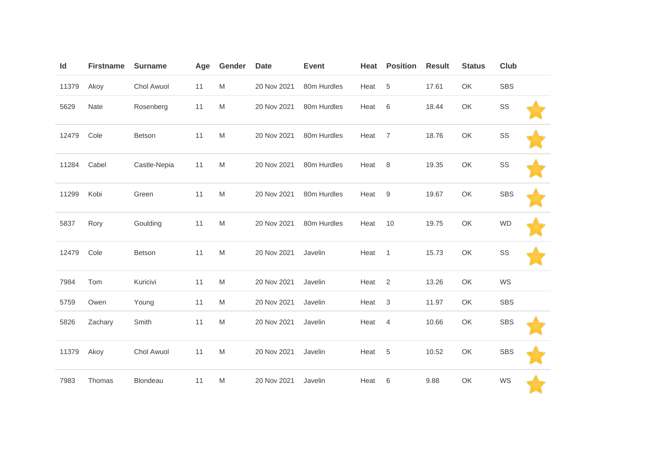| Id    | <b>Firstname</b> | <b>Surname</b> | Age | Gender                                                                                                     | <b>Date</b> | <b>Event</b> | Heat | <b>Position</b> | <b>Result</b> | <b>Status</b> | <b>Club</b> |  |
|-------|------------------|----------------|-----|------------------------------------------------------------------------------------------------------------|-------------|--------------|------|-----------------|---------------|---------------|-------------|--|
| 11379 | Akoy             | Chol Awuol     | 11  | M                                                                                                          | 20 Nov 2021 | 80m Hurdles  | Heat | 5               | 17.61         | OK            | <b>SBS</b>  |  |
| 5629  | Nate             | Rosenberg      | 11  | $\mathsf{M}% _{T}=\mathsf{M}_{T}\!\left( a,b\right) ,\ \mathsf{M}_{T}=\mathsf{M}_{T}\!\left( a,b\right) ,$ | 20 Nov 2021 | 80m Hurdles  | Heat | 6               | 18.44         | OK            | SS          |  |
| 12479 | Cole             | <b>Betson</b>  | 11  | M                                                                                                          | 20 Nov 2021 | 80m Hurdles  | Heat | $\overline{7}$  | 18.76         | OK            | SS          |  |
| 11284 | Cabel            | Castle-Nepia   | 11  | M                                                                                                          | 20 Nov 2021 | 80m Hurdles  | Heat | 8               | 19.35         | OK            | SS          |  |
| 11299 | Kobi             | Green          | 11  | M                                                                                                          | 20 Nov 2021 | 80m Hurdles  | Heat | 9               | 19.67         | OK            | <b>SBS</b>  |  |
| 5837  | Rory             | Goulding       | 11  | M                                                                                                          | 20 Nov 2021 | 80m Hurdles  | Heat | 10              | 19.75         | OK            | <b>WD</b>   |  |
| 12479 | Cole             | Betson         | 11  | M                                                                                                          | 20 Nov 2021 | Javelin      | Heat | $\overline{1}$  | 15.73         | OK            | SS          |  |
| 7984  | Tom              | Kuricivi       | 11  | M                                                                                                          | 20 Nov 2021 | Javelin      | Heat | $\overline{2}$  | 13.26         | OK            | WS          |  |
| 5759  | Owen             | Young          | 11  | M                                                                                                          | 20 Nov 2021 | Javelin      | Heat | 3               | 11.97         | OK            | <b>SBS</b>  |  |
| 5826  | Zachary          | Smith          | 11  | M                                                                                                          | 20 Nov 2021 | Javelin      | Heat | $\overline{4}$  | 10.66         | OK            | <b>SBS</b>  |  |
| 11379 | Akoy             | Chol Awuol     | 11  | M                                                                                                          | 20 Nov 2021 | Javelin      | Heat | 5               | 10.52         | OK            | <b>SBS</b>  |  |
| 7983  | Thomas           | Blondeau       | 11  | M                                                                                                          | 20 Nov 2021 | Javelin      | Heat | 6               | 9.88          | OK            | WS          |  |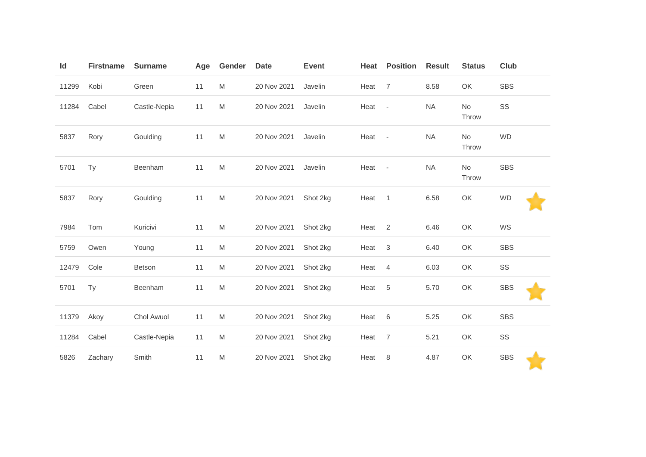| Id    | <b>Firstname</b> | <b>Surname</b> | Age | Gender                                                                                                     | <b>Date</b> | <b>Event</b> | Heat   | <b>Position</b>           | <b>Result</b> | <b>Status</b> | <b>Club</b> |
|-------|------------------|----------------|-----|------------------------------------------------------------------------------------------------------------|-------------|--------------|--------|---------------------------|---------------|---------------|-------------|
| 11299 | Kobi             | Green          | 11  | M                                                                                                          | 20 Nov 2021 | Javelin      | Heat   | $\overline{7}$            | 8.58          | OK            | <b>SBS</b>  |
| 11284 | Cabel            | Castle-Nepia   | 11  | M                                                                                                          | 20 Nov 2021 | Javelin      | Heat   | $\sim$                    | <b>NA</b>     | No<br>Throw   | SS          |
| 5837  | Rory             | Goulding       | 11  | $\mathsf{M}% _{T}=\mathsf{M}_{T}\!\left( a,b\right) ,\ \mathsf{M}_{T}=\mathsf{M}_{T}\!\left( a,b\right) ,$ | 20 Nov 2021 | Javelin      | Heat   | $\overline{\phantom{a}}$  | <b>NA</b>     | No<br>Throw   | <b>WD</b>   |
| 5701  | Ty               | Beenham        | 11  | $\mathsf{M}% _{T}=\mathsf{M}_{T}\!\left( a,b\right) ,\ \mathsf{M}_{T}=\mathsf{M}_{T}\!\left( a,b\right) ,$ | 20 Nov 2021 | Javelin      | Heat - |                           | <b>NA</b>     | No<br>Throw   | <b>SBS</b>  |
| 5837  | Rory             | Goulding       | 11  | ${\sf M}$                                                                                                  | 20 Nov 2021 | Shot 2kg     | Heat   | $\overline{1}$            | 6.58          | OK            | <b>WD</b>   |
| 7984  | Tom              | Kuricivi       | 11  | M                                                                                                          | 20 Nov 2021 | Shot 2kg     | Heat   | 2                         | 6.46          | OK            | WS          |
| 5759  | Owen             | Young          | 11  | M                                                                                                          | 20 Nov 2021 | Shot 2kg     | Heat   | $\ensuremath{\mathsf{3}}$ | 6.40          | OK            | <b>SBS</b>  |
| 12479 | Cole             | Betson         | 11  | M                                                                                                          | 20 Nov 2021 | Shot 2kg     | Heat   | 4                         | 6.03          | OK            | SS          |
| 5701  | Ty               | Beenham        | 11  | M                                                                                                          | 20 Nov 2021 | Shot 2kg     | Heat   | $\,$ 5 $\,$               | 5.70          | OK            | <b>SBS</b>  |
| 11379 | Akoy             | Chol Awuol     | 11  | M                                                                                                          | 20 Nov 2021 | Shot 2kg     | Heat   | 6                         | 5.25          | OK            | <b>SBS</b>  |
| 11284 | Cabel            | Castle-Nepia   | 11  | M                                                                                                          | 20 Nov 2021 | Shot 2kg     | Heat   | $\overline{7}$            | 5.21          | OK            | SS          |
| 5826  | Zachary          | Smith          | 11  | M                                                                                                          | 20 Nov 2021 | Shot 2kg     | Heat   | 8                         | 4.87          | OK            | <b>SBS</b>  |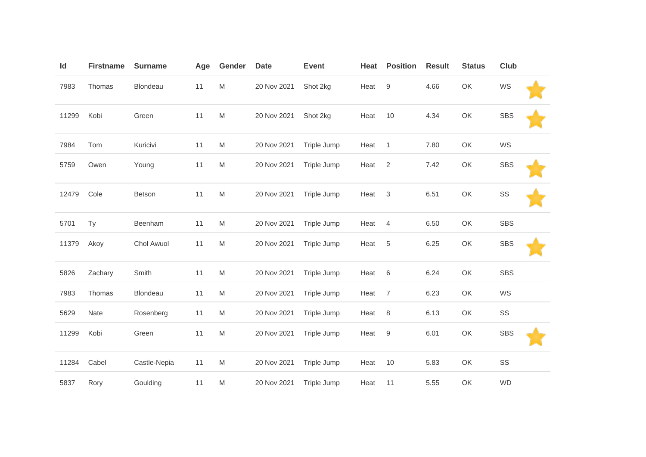| Id    | <b>Firstname</b> | <b>Surname</b> | Age | Gender    | <b>Date</b> | <b>Event</b> | Heat | <b>Position</b>  | <b>Result</b> | <b>Status</b> | Club       |  |
|-------|------------------|----------------|-----|-----------|-------------|--------------|------|------------------|---------------|---------------|------------|--|
| 7983  | Thomas           | Blondeau       | 11  | M         | 20 Nov 2021 | Shot 2kg     | Heat | $\boldsymbol{9}$ | 4.66          | OK            | WS         |  |
| 11299 | Kobi             | Green          | 11  | M         | 20 Nov 2021 | Shot 2kg     | Heat | 10               | 4.34          | OK            | <b>SBS</b> |  |
| 7984  | Tom              | Kuricivi       | 11  | M         | 20 Nov 2021 | Triple Jump  | Heat | $\mathbf{1}$     | 7.80          | OK            | WS         |  |
| 5759  | Owen             | Young          | 11  | M         | 20 Nov 2021 | Triple Jump  | Heat | $\overline{2}$   | 7.42          | OK            | <b>SBS</b> |  |
| 12479 | Cole             | <b>Betson</b>  | 11  | ${\sf M}$ | 20 Nov 2021 | Triple Jump  | Heat | $\sqrt{3}$       | 6.51          | OK            | SS         |  |
| 5701  | Ty               | Beenham        | 11  | M         | 20 Nov 2021 | Triple Jump  | Heat | $\overline{4}$   | 6.50          | OK            | <b>SBS</b> |  |
| 11379 | Akoy             | Chol Awuol     | 11  | M         | 20 Nov 2021 | Triple Jump  | Heat | 5                | 6.25          | OK            | <b>SBS</b> |  |
| 5826  | Zachary          | Smith          | 11  | M         | 20 Nov 2021 | Triple Jump  | Heat | $6\,$            | 6.24          | OK            | <b>SBS</b> |  |
| 7983  | Thomas           | Blondeau       | 11  | M         | 20 Nov 2021 | Triple Jump  | Heat | $\overline{7}$   | 6.23          | OK            | WS         |  |
| 5629  | Nate             | Rosenberg      | 11  | M         | 20 Nov 2021 | Triple Jump  | Heat | 8                | 6.13          | OK            | SS         |  |
| 11299 | Kobi             | Green          | 11  | M         | 20 Nov 2021 | Triple Jump  | Heat | $\boldsymbol{9}$ | 6.01          | OK            | <b>SBS</b> |  |
| 11284 | Cabel            | Castle-Nepia   | 11  | M         | 20 Nov 2021 | Triple Jump  | Heat | 10               | 5.83          | OK            | SS         |  |
| 5837  | Rory             | Goulding       | 11  | M         | 20 Nov 2021 | Triple Jump  | Heat | 11               | 5.55          | OK            | <b>WD</b>  |  |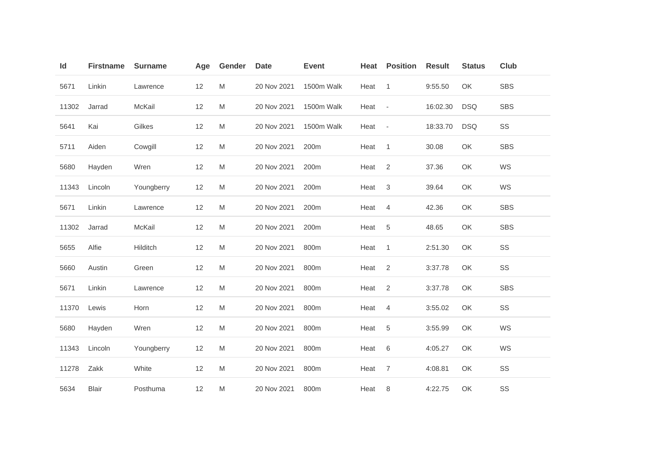| Id    | <b>Firstname</b> | <b>Surname</b> | Age | Gender    | <b>Date</b> | <b>Event</b> | <b>Heat</b> | <b>Position</b>           | <b>Result</b> | <b>Status</b> | <b>Club</b> |
|-------|------------------|----------------|-----|-----------|-------------|--------------|-------------|---------------------------|---------------|---------------|-------------|
| 5671  | Linkin           | Lawrence       | 12  | M         | 20 Nov 2021 | 1500m Walk   | Heat        | $\mathbf{1}$              | 9:55.50       | OK            | <b>SBS</b>  |
| 11302 | Jarrad           | McKail         | 12  | M         | 20 Nov 2021 | 1500m Walk   | Heat        | $\sim$                    | 16:02.30      | <b>DSQ</b>    | <b>SBS</b>  |
| 5641  | Kai              | Gilkes         | 12  | M         | 20 Nov 2021 | 1500m Walk   | Heat        | $\sim$                    | 18:33.70      | <b>DSQ</b>    | SS          |
| 5711  | Aiden            | Cowgill        | 12  | M         | 20 Nov 2021 | 200m         | Heat        | $\mathbf{1}$              | 30.08         | OK            | <b>SBS</b>  |
| 5680  | Hayden           | Wren           | 12  | M         | 20 Nov 2021 | 200m         | Heat        | $\mathbf{2}$              | 37.36         | OK            | WS          |
| 11343 | Lincoln          | Youngberry     | 12  | ${\sf M}$ | 20 Nov 2021 | 200m         | Heat        | $\ensuremath{\mathsf{3}}$ | 39.64         | OK            | WS          |
| 5671  | Linkin           | Lawrence       | 12  | M         | 20 Nov 2021 | 200m         | Heat        | 4                         | 42.36         | OK            | <b>SBS</b>  |
| 11302 | Jarrad           | McKail         | 12  | ${\sf M}$ | 20 Nov 2021 | 200m         | Heat        | $\sqrt{5}$                | 48.65         | OK            | <b>SBS</b>  |
| 5655  | Alfie            | Hilditch       | 12  | ${\sf M}$ | 20 Nov 2021 | 800m         | Heat        | $\mathbf{1}$              | 2:51.30       | OK            | SS          |
| 5660  | Austin           | Green          | 12  | ${\sf M}$ | 20 Nov 2021 | 800m         | Heat        | $\sqrt{2}$                | 3:37.78       | OK            | SS          |
| 5671  | Linkin           | Lawrence       | 12  | M         | 20 Nov 2021 | 800m         | Heat        | $\mathbf{2}$              | 3:37.78       | OK            | <b>SBS</b>  |
| 11370 | Lewis            | Horn           | 12  | M         | 20 Nov 2021 | 800m         | Heat        | $\overline{4}$            | 3:55.02       | OK            | SS          |
| 5680  | Hayden           | Wren           | 12  | M         | 20 Nov 2021 | 800m         | Heat        | $\sqrt{5}$                | 3:55.99       | OK            | WS          |
| 11343 | Lincoln          | Youngberry     | 12  | ${\sf M}$ | 20 Nov 2021 | 800m         | Heat        | $\,6$                     | 4:05.27       | OK            | WS          |
| 11278 | Zakk             | White          | 12  | M         | 20 Nov 2021 | 800m         | Heat        | $\overline{7}$            | 4:08.81       | OK            | SS          |
| 5634  | <b>Blair</b>     | Posthuma       | 12  | M         | 20 Nov 2021 | 800m         | Heat        | 8                         | 4:22.75       | OK            | SS          |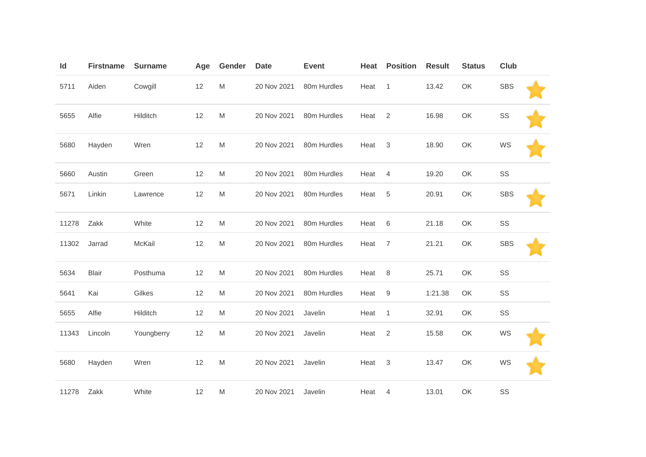| Id    | <b>Firstname</b> | <b>Surname</b> | Age | Gender    | <b>Date</b> | <b>Event</b> | Heat | <b>Position</b>  | <b>Result</b> | <b>Status</b> | Club       |  |
|-------|------------------|----------------|-----|-----------|-------------|--------------|------|------------------|---------------|---------------|------------|--|
| 5711  | Aiden            | Cowgill        | 12  | M         | 20 Nov 2021 | 80m Hurdles  | Heat | $\overline{1}$   | 13.42         | OK            | <b>SBS</b> |  |
| 5655  | Alfie            | Hilditch       | 12  | M         | 20 Nov 2021 | 80m Hurdles  | Heat | 2                | 16.98         | OK            | SS         |  |
| 5680  | Hayden           | Wren           | 12  | M         | 20 Nov 2021 | 80m Hurdles  | Heat | 3                | 18.90         | OK            | WS         |  |
| 5660  | Austin           | Green          | 12  | M         | 20 Nov 2021 | 80m Hurdles  | Heat | $\overline{4}$   | 19.20         | OK            | SS         |  |
| 5671  | Linkin           | Lawrence       | 12  | M         | 20 Nov 2021 | 80m Hurdles  | Heat | $\sqrt{5}$       | 20.91         | OK            | <b>SBS</b> |  |
| 11278 | Zakk             | White          | 12  | M         | 20 Nov 2021 | 80m Hurdles  | Heat | 6                | 21.18         | OK            | SS         |  |
| 11302 | Jarrad           | McKail         | 12  | M         | 20 Nov 2021 | 80m Hurdles  | Heat | $\overline{7}$   | 21.21         | OK            | <b>SBS</b> |  |
| 5634  | <b>Blair</b>     | Posthuma       | 12  | M         | 20 Nov 2021 | 80m Hurdles  | Heat | 8                | 25.71         | OK            | SS         |  |
| 5641  | Kai              | Gilkes         | 12  | M         | 20 Nov 2021 | 80m Hurdles  | Heat | $\boldsymbol{9}$ | 1:21.38       | OK            | SS         |  |
| 5655  | Alfie            | Hilditch       | 12  | M         | 20 Nov 2021 | Javelin      | Heat | $\mathbf{1}$     | 32.91         | OK            | SS         |  |
| 11343 | Lincoln          | Youngberry     | 12  | M         | 20 Nov 2021 | Javelin      | Heat | $\sqrt{2}$       | 15.58         | OK            | WS         |  |
| 5680  | Hayden           | Wren           | 12  | ${\sf M}$ | 20 Nov 2021 | Javelin      | Heat | $\sqrt{3}$       | 13.47         | OK            | WS         |  |
| 11278 | Zakk             | White          | 12  | M         | 20 Nov 2021 | Javelin      | Heat | 4                | 13.01         | OK            | SS         |  |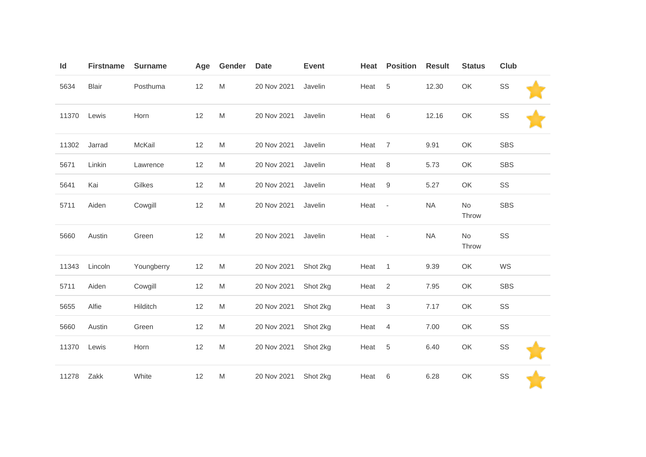| Id    | <b>Firstname</b> | <b>Surname</b> | Age | Gender    | <b>Date</b> | <b>Event</b> | Heat | <b>Position</b>          | <b>Result</b> | <b>Status</b> | Club       |
|-------|------------------|----------------|-----|-----------|-------------|--------------|------|--------------------------|---------------|---------------|------------|
| 5634  | <b>Blair</b>     | Posthuma       | 12  | M         | 20 Nov 2021 | Javelin      | Heat | 5                        | 12.30         | OK            | SS         |
| 11370 | Lewis            | Horn           | 12  | ${\sf M}$ | 20 Nov 2021 | Javelin      | Heat | 6                        | 12.16         | OK            | SS         |
| 11302 | Jarrad           | McKail         | 12  | M         | 20 Nov 2021 | Javelin      | Heat | $\overline{7}$           | 9.91          | OK            | <b>SBS</b> |
| 5671  | Linkin           | Lawrence       | 12  | M         | 20 Nov 2021 | Javelin      | Heat | 8                        | 5.73          | OK            | <b>SBS</b> |
| 5641  | Kai              | Gilkes         | 12  | M         | 20 Nov 2021 | Javelin      | Heat | $9\,$                    | 5.27          | OK            | SS         |
| 5711  | Aiden            | Cowgill        | 12  | M         | 20 Nov 2021 | Javelin      | Heat | $\overline{\phantom{a}}$ | <b>NA</b>     | No<br>Throw   | <b>SBS</b> |
| 5660  | Austin           | Green          | 12  | M         | 20 Nov 2021 | Javelin      | Heat | $\overline{\phantom{a}}$ | <b>NA</b>     | No<br>Throw   | SS         |
| 11343 | Lincoln          | Youngberry     | 12  | M         | 20 Nov 2021 | Shot 2kg     | Heat | $\overline{1}$           | 9.39          | OK            | WS         |
| 5711  | Aiden            | Cowgill        | 12  | M         | 20 Nov 2021 | Shot 2kg     | Heat | $\overline{2}$           | 7.95          | OK            | SBS        |
| 5655  | Alfie            | Hilditch       | 12  | M         | 20 Nov 2021 | Shot 2kg     | Heat | 3                        | 7.17          | OK            | SS         |
| 5660  | Austin           | Green          | 12  | M         | 20 Nov 2021 | Shot 2kg     | Heat | $\overline{4}$           | 7.00          | OK            | SS         |
| 11370 | Lewis            | Horn           | 12  | M         | 20 Nov 2021 | Shot 2kg     | Heat | 5                        | 6.40          | OK            | SS         |
| 11278 | Zakk             | White          | 12  | M         | 20 Nov 2021 | Shot 2kg     | Heat | 6                        | 6.28          | OK            | SS         |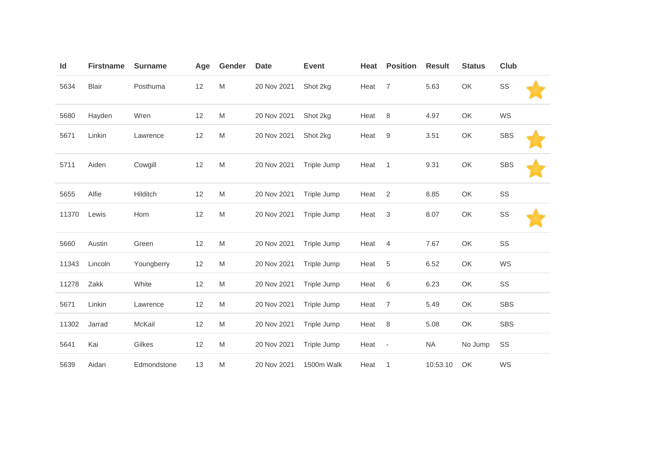| Id    | <b>Firstname</b> | <b>Surname</b> | Age | Gender    | <b>Date</b> | <b>Event</b> | Heat | <b>Position</b>           | <b>Result</b> | <b>Status</b> | Club       |  |
|-------|------------------|----------------|-----|-----------|-------------|--------------|------|---------------------------|---------------|---------------|------------|--|
| 5634  | <b>Blair</b>     | Posthuma       | 12  | M         | 20 Nov 2021 | Shot 2kg     | Heat | $\overline{7}$            | 5.63          | OK            | SS         |  |
| 5680  | Hayden           | Wren           | 12  | M         | 20 Nov 2021 | Shot 2kg     | Heat | $\,8\,$                   | 4.97          | OK            | WS         |  |
| 5671  | Linkin           | Lawrence       | 12  | M         | 20 Nov 2021 | Shot 2kg     | Heat | $\boldsymbol{9}$          | 3.51          | OK            | <b>SBS</b> |  |
| 5711  | Aiden            | Cowgill        | 12  | ${\sf M}$ | 20 Nov 2021 | Triple Jump  | Heat | $\mathbf{1}$              | 9.31          | OK            | <b>SBS</b> |  |
| 5655  | Alfie            | Hilditch       | 12  | M         | 20 Nov 2021 | Triple Jump  | Heat | $\overline{2}$            | 8.85          | OK            | SS         |  |
| 11370 | Lewis            | Horn           | 12  | M         | 20 Nov 2021 | Triple Jump  | Heat | $\ensuremath{\mathsf{3}}$ | 8.07          | OK            | SS         |  |
| 5660  | Austin           | Green          | 12  | M         | 20 Nov 2021 | Triple Jump  | Heat | $\overline{4}$            | 7.67          | OK            | SS         |  |
| 11343 | Lincoln          | Youngberry     | 12  | M         | 20 Nov 2021 | Triple Jump  | Heat | $\,$ 5 $\,$               | 6.52          | OK            | WS         |  |
| 11278 | Zakk             | White          | 12  | M         | 20 Nov 2021 | Triple Jump  | Heat | $\,6$                     | 6.23          | OK            | SS         |  |
| 5671  | Linkin           | Lawrence       | 12  | M         | 20 Nov 2021 | Triple Jump  | Heat | 7                         | 5.49          | OK            | <b>SBS</b> |  |
| 11302 | Jarrad           | McKail         | 12  | M         | 20 Nov 2021 | Triple Jump  | Heat | 8                         | 5.08          | OK            | <b>SBS</b> |  |
| 5641  | Kai              | Gilkes         | 12  | M         | 20 Nov 2021 | Triple Jump  | Heat | $\overline{\phantom{a}}$  | <b>NA</b>     | No Jump       | SS         |  |
| 5639  | Aidan            | Edmondstone    | 13  | M         | 20 Nov 2021 | 1500m Walk   | Heat | $\mathbf 1$               | 10:53.10      | OK            | WS         |  |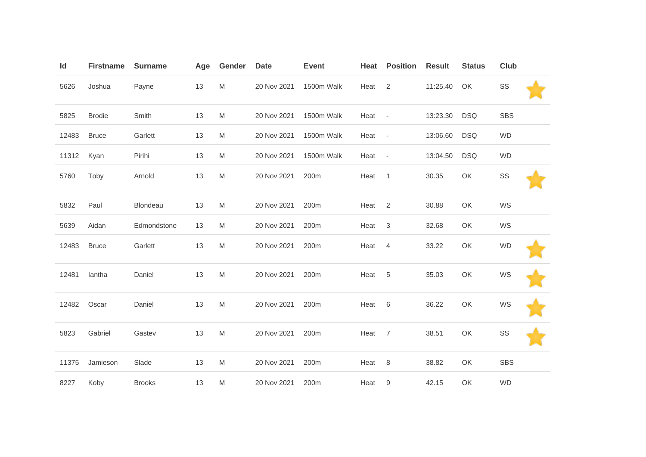| Id    | <b>Firstname</b> | <b>Surname</b> | Age | Gender | <b>Date</b> | <b>Event</b> | Heat | <b>Position</b>          | <b>Result</b> | <b>Status</b> | Club       |  |
|-------|------------------|----------------|-----|--------|-------------|--------------|------|--------------------------|---------------|---------------|------------|--|
| 5626  | Joshua           | Payne          | 13  | M      | 20 Nov 2021 | 1500m Walk   | Heat | 2                        | 11:25.40      | OK            | SS         |  |
| 5825  | <b>Brodie</b>    | Smith          | 13  | M      | 20 Nov 2021 | 1500m Walk   | Heat | $\overline{\phantom{a}}$ | 13:23.30      | <b>DSQ</b>    | <b>SBS</b> |  |
| 12483 | <b>Bruce</b>     | Garlett        | 13  | M      | 20 Nov 2021 | 1500m Walk   | Heat | $\overline{\phantom{a}}$ | 13:06.60      | <b>DSQ</b>    | <b>WD</b>  |  |
| 11312 | Kyan             | Pirihi         | 13  | M      | 20 Nov 2021 | 1500m Walk   | Heat | $\overline{\phantom{a}}$ | 13:04.50      | <b>DSQ</b>    | <b>WD</b>  |  |
| 5760  | Toby             | Arnold         | 13  | M      | 20 Nov 2021 | 200m         | Heat | $\mathbf{1}$             | 30.35         | OK            | SS         |  |
| 5832  | Paul             | Blondeau       | 13  | M      | 20 Nov 2021 | 200m         | Heat | 2                        | 30.88         | OK            | WS         |  |
| 5639  | Aidan            | Edmondstone    | 13  | M      | 20 Nov 2021 | 200m         | Heat | 3                        | 32.68         | OK            | WS         |  |
| 12483 | <b>Bruce</b>     | Garlett        | 13  | M      | 20 Nov 2021 | 200m         | Heat | $\overline{4}$           | 33.22         | OK            | <b>WD</b>  |  |
| 12481 | lantha           | Daniel         | 13  | M      | 20 Nov 2021 | 200m         | Heat | 5                        | 35.03         | OK            | WS         |  |
| 12482 | Oscar            | Daniel         | 13  | M      | 20 Nov 2021 | 200m         | Heat | 6                        | 36.22         | OK            | WS         |  |
| 5823  | Gabriel          | Gastev         | 13  | M      | 20 Nov 2021 | 200m         | Heat | $\overline{7}$           | 38.51         | OK            | SS         |  |
| 11375 | Jamieson         | Slade          | 13  | M      | 20 Nov 2021 | 200m         | Heat | 8                        | 38.82         | OK            | <b>SBS</b> |  |
| 8227  | Koby             | <b>Brooks</b>  | 13  | M      | 20 Nov 2021 | 200m         | Heat | 9                        | 42.15         | OK            | <b>WD</b>  |  |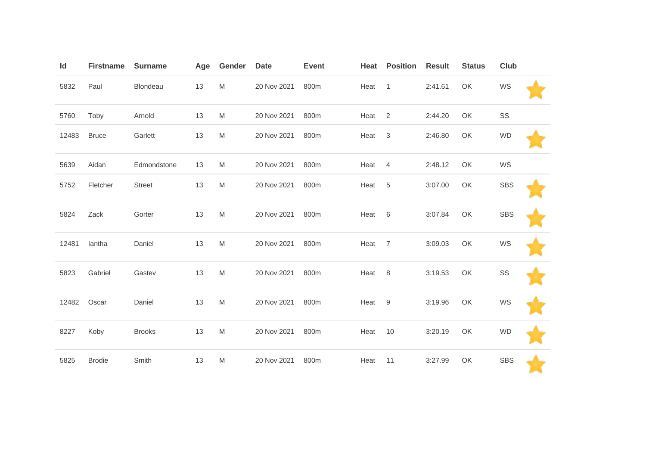| Id    | <b>Firstname</b> | <b>Surname</b> | Age | Gender                                                                                                     | <b>Date</b> | <b>Event</b> | Heat | <b>Position</b> | <b>Result</b> | <b>Status</b> | <b>Club</b> |  |
|-------|------------------|----------------|-----|------------------------------------------------------------------------------------------------------------|-------------|--------------|------|-----------------|---------------|---------------|-------------|--|
| 5832  | Paul             | Blondeau       | 13  | M                                                                                                          | 20 Nov 2021 | 800m         | Heat | $\mathbf{1}$    | 2:41.61       | OK            | WS          |  |
| 5760  | Toby             | Arnold         | 13  | M                                                                                                          | 20 Nov 2021 | 800m         | Heat | 2               | 2:44.20       | OK            | SS          |  |
| 12483 | <b>Bruce</b>     | Garlett        | 13  | M                                                                                                          | 20 Nov 2021 | 800m         | Heat | 3               | 2:46.80       | OK            | <b>WD</b>   |  |
| 5639  | Aidan            | Edmondstone    | 13  | M                                                                                                          | 20 Nov 2021 | 800m         | Heat | 4               | 2:48.12       | OK            | WS          |  |
| 5752  | Fletcher         | <b>Street</b>  | 13  | M                                                                                                          | 20 Nov 2021 | 800m         | Heat | 5               | 3:07.00       | OK            | <b>SBS</b>  |  |
| 5824  | Zack             | Gorter         | 13  | M                                                                                                          | 20 Nov 2021 | 800m         | Heat | 6               | 3:07.84       | OK            | <b>SBS</b>  |  |
| 12481 | lantha           | Daniel         | 13  | M                                                                                                          | 20 Nov 2021 | 800m         | Heat | $\overline{7}$  | 3:09.03       | OK            | WS          |  |
| 5823  | Gabriel          | Gastev         | 13  | M                                                                                                          | 20 Nov 2021 | 800m         | Heat | 8               | 3:19.53       | OK            | SS          |  |
| 12482 | Oscar            | Daniel         | 13  | M                                                                                                          | 20 Nov 2021 | 800m         | Heat | 9               | 3:19.96       | OK            | WS          |  |
| 8227  | Koby             | <b>Brooks</b>  | 13  | $\mathsf{M}% _{T}=\mathsf{M}_{T}\!\left( a,b\right) ,\ \mathsf{M}_{T}=\mathsf{M}_{T}\!\left( a,b\right) ,$ | 20 Nov 2021 | 800m         | Heat | 10              | 3:20.19       | OK            | <b>WD</b>   |  |
| 5825  | <b>Brodie</b>    | Smith          | 13  | M                                                                                                          | 20 Nov 2021 | 800m         | Heat | 11              | 3:27.99       | OK            | <b>SBS</b>  |  |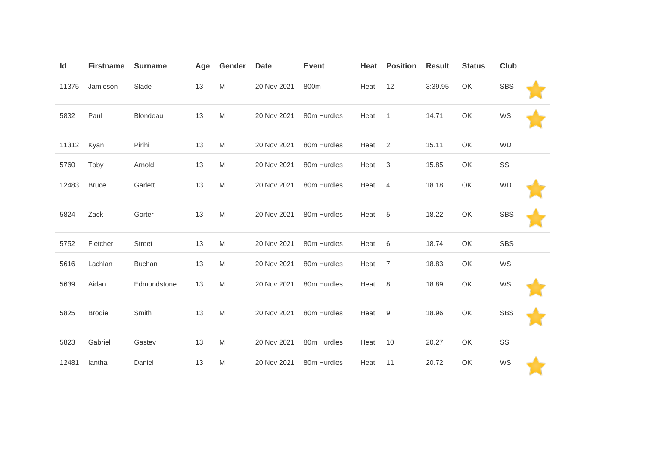| Id    | <b>Firstname</b> | <b>Surname</b> | Age | Gender    | <b>Date</b> | <b>Event</b> | Heat | <b>Position</b> | <b>Result</b> | <b>Status</b> | Club       |  |
|-------|------------------|----------------|-----|-----------|-------------|--------------|------|-----------------|---------------|---------------|------------|--|
| 11375 | Jamieson         | Slade          | 13  | M         | 20 Nov 2021 | 800m         | Heat | 12              | 3:39.95       | OK            | <b>SBS</b> |  |
| 5832  | Paul             | Blondeau       | 13  | M         | 20 Nov 2021 | 80m Hurdles  | Heat | $\mathbf{1}$    | 14.71         | OK            | WS         |  |
| 11312 | Kyan             | Pirihi         | 13  | M         | 20 Nov 2021 | 80m Hurdles  | Heat | 2               | 15.11         | OK            | <b>WD</b>  |  |
| 5760  | Toby             | Arnold         | 13  | M         | 20 Nov 2021 | 80m Hurdles  | Heat | $\sqrt{3}$      | 15.85         | OK            | SS         |  |
| 12483 | <b>Bruce</b>     | Garlett        | 13  | M         | 20 Nov 2021 | 80m Hurdles  | Heat | $\overline{4}$  | 18.18         | OK            | <b>WD</b>  |  |
| 5824  | Zack             | Gorter         | 13  | M         | 20 Nov 2021 | 80m Hurdles  | Heat | 5               | 18.22         | OK            | <b>SBS</b> |  |
| 5752  | Fletcher         | <b>Street</b>  | 13  | M         | 20 Nov 2021 | 80m Hurdles  | Heat | 6               | 18.74         | OK            | <b>SBS</b> |  |
| 5616  | Lachlan          | <b>Buchan</b>  | 13  | M         | 20 Nov 2021 | 80m Hurdles  | Heat | $\overline{7}$  | 18.83         | OK            | WS         |  |
| 5639  | Aidan            | Edmondstone    | 13  | ${\sf M}$ | 20 Nov 2021 | 80m Hurdles  | Heat | 8               | 18.89         | OK            | WS         |  |
| 5825  | <b>Brodie</b>    | Smith          | 13  | M         | 20 Nov 2021 | 80m Hurdles  | Heat | 9               | 18.96         | OK            | <b>SBS</b> |  |
| 5823  | Gabriel          | Gastev         | 13  | M         | 20 Nov 2021 | 80m Hurdles  | Heat | 10              | 20.27         | OK            | SS         |  |
| 12481 | lantha           | Daniel         | 13  | M         | 20 Nov 2021 | 80m Hurdles  | Heat | 11              | 20.72         | OK            | WS         |  |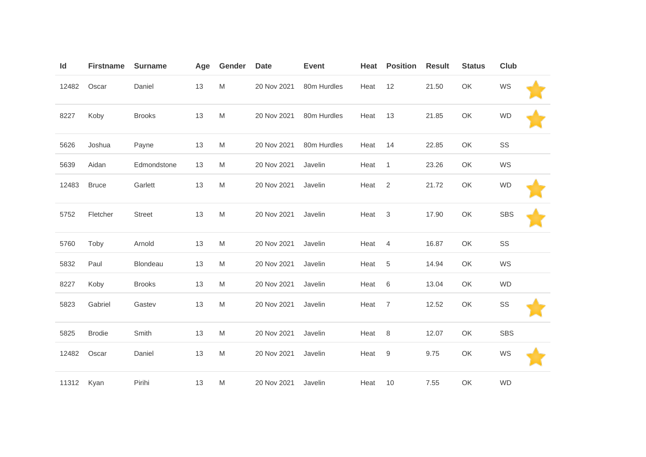| Id    | <b>Firstname</b> | <b>Surname</b> | Age | Gender | <b>Date</b> | <b>Event</b> | Heat | <b>Position</b> | <b>Result</b> | <b>Status</b> | <b>Club</b> |  |
|-------|------------------|----------------|-----|--------|-------------|--------------|------|-----------------|---------------|---------------|-------------|--|
| 12482 | Oscar            | Daniel         | 13  | M      | 20 Nov 2021 | 80m Hurdles  | Heat | 12              | 21.50         | OK            | WS          |  |
| 8227  | Koby             | <b>Brooks</b>  | 13  | M      | 20 Nov 2021 | 80m Hurdles  | Heat | 13              | 21.85         | OK            | <b>WD</b>   |  |
| 5626  | Joshua           | Payne          | 13  | M      | 20 Nov 2021 | 80m Hurdles  | Heat | 14              | 22.85         | OK            | SS          |  |
| 5639  | Aidan            | Edmondstone    | 13  | M      | 20 Nov 2021 | Javelin      | Heat | $\mathbf{1}$    | 23.26         | OK            | WS          |  |
| 12483 | <b>Bruce</b>     | Garlett        | 13  | M      | 20 Nov 2021 | Javelin      | Heat | 2               | 21.72         | OK            | <b>WD</b>   |  |
| 5752  | Fletcher         | <b>Street</b>  | 13  | M      | 20 Nov 2021 | Javelin      | Heat | 3               | 17.90         | OK            | <b>SBS</b>  |  |
| 5760  | Toby             | Arnold         | 13  | M      | 20 Nov 2021 | Javelin      | Heat | 4               | 16.87         | OK            | $\text{SS}$ |  |
| 5832  | Paul             | Blondeau       | 13  | M      | 20 Nov 2021 | Javelin      | Heat | 5               | 14.94         | OK            | WS          |  |
| 8227  | Koby             | <b>Brooks</b>  | 13  | M      | 20 Nov 2021 | Javelin      | Heat | $6\,$           | 13.04         | OK            | <b>WD</b>   |  |
| 5823  | Gabriel          | Gastev         | 13  | M      | 20 Nov 2021 | Javelin      | Heat | $\overline{7}$  | 12.52         | OK            | SS          |  |
| 5825  | <b>Brodie</b>    | Smith          | 13  | M      | 20 Nov 2021 | Javelin      | Heat | 8               | 12.07         | OK            | <b>SBS</b>  |  |
| 12482 | Oscar            | Daniel         | 13  | M      | 20 Nov 2021 | Javelin      | Heat | $9\,$           | 9.75          | OK            | WS          |  |
| 11312 | Kyan             | Pirihi         | 13  | M      | 20 Nov 2021 | Javelin      | Heat | 10              | 7.55          | OK            | <b>WD</b>   |  |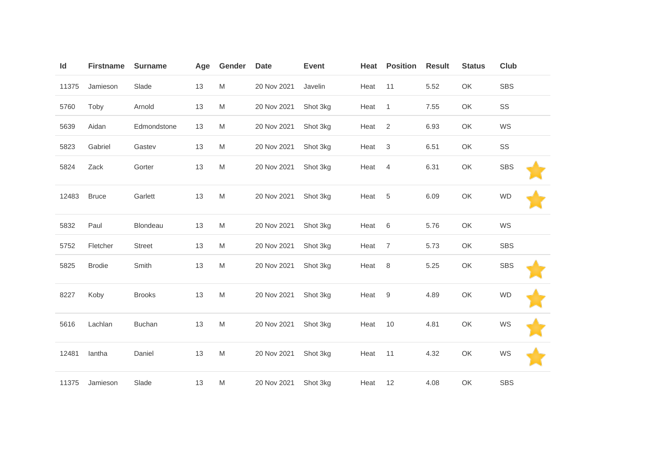| Id    | <b>Firstname</b> | <b>Surname</b> | Age | Gender | <b>Date</b> | <b>Event</b> | Heat | <b>Position</b>  | <b>Result</b> | <b>Status</b> | Club       |
|-------|------------------|----------------|-----|--------|-------------|--------------|------|------------------|---------------|---------------|------------|
| 11375 | Jamieson         | Slade          | 13  | M      | 20 Nov 2021 | Javelin      | Heat | 11               | 5.52          | OK            | <b>SBS</b> |
| 5760  | Toby             | Arnold         | 13  | M      | 20 Nov 2021 | Shot 3kg     | Heat | $\mathbf{1}$     | 7.55          | OK            | SS         |
| 5639  | Aidan            | Edmondstone    | 13  | M      | 20 Nov 2021 | Shot 3kg     | Heat | 2                | 6.93          | OK            | WS         |
| 5823  | Gabriel          | Gastev         | 13  | M      | 20 Nov 2021 | Shot 3kg     | Heat | 3                | 6.51          | OK            | SS         |
| 5824  | Zack             | Gorter         | 13  | M      | 20 Nov 2021 | Shot 3kg     | Heat | $\overline{4}$   | 6.31          | OK            | <b>SBS</b> |
| 12483 | <b>Bruce</b>     | Garlett        | 13  | M      | 20 Nov 2021 | Shot 3kg     | Heat | 5                | 6.09          | OK            | <b>WD</b>  |
| 5832  | Paul             | Blondeau       | 13  | M      | 20 Nov 2021 | Shot 3kg     | Heat | 6                | 5.76          | OK            | WS         |
| 5752  | Fletcher         | <b>Street</b>  | 13  | M      | 20 Nov 2021 | Shot 3kg     | Heat | $\overline{7}$   | 5.73          | OK            | <b>SBS</b> |
| 5825  | <b>Brodie</b>    | Smith          | 13  | M      | 20 Nov 2021 | Shot 3kg     | Heat | 8                | 5.25          | OK            | <b>SBS</b> |
| 8227  | Koby             | <b>Brooks</b>  | 13  | M      | 20 Nov 2021 | Shot 3kg     | Heat | $\boldsymbol{9}$ | 4.89          | OK            | <b>WD</b>  |
| 5616  | Lachlan          | <b>Buchan</b>  | 13  | M      | 20 Nov 2021 | Shot 3kg     | Heat | 10               | 4.81          | OK            | WS         |
| 12481 | lantha           | Daniel         | 13  | M      | 20 Nov 2021 | Shot 3kg     | Heat | 11               | 4.32          | OK            | WS         |
| 11375 | Jamieson         | Slade          | 13  | M      | 20 Nov 2021 | Shot 3kg     | Heat | 12               | 4.08          | OK            | <b>SBS</b> |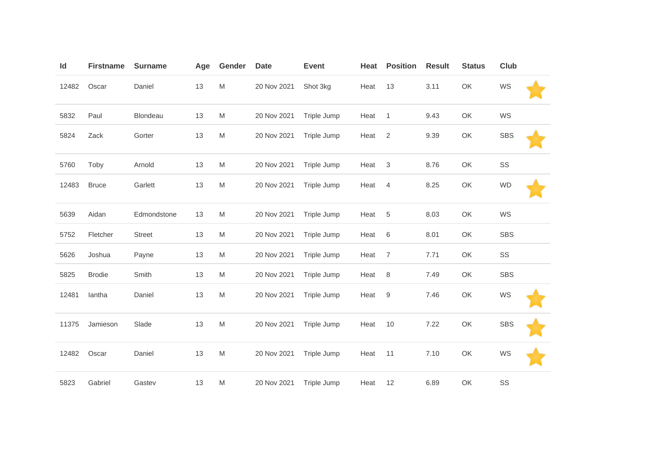| Id    | <b>Firstname</b> | <b>Surname</b> | Age | Gender    | <b>Date</b> | <b>Event</b> | Heat | <b>Position</b> | <b>Result</b> | <b>Status</b> | <b>Club</b> |  |
|-------|------------------|----------------|-----|-----------|-------------|--------------|------|-----------------|---------------|---------------|-------------|--|
| 12482 | Oscar            | Daniel         | 13  | ${\sf M}$ | 20 Nov 2021 | Shot 3kg     | Heat | 13              | 3.11          | OK            | WS          |  |
| 5832  | Paul             | Blondeau       | 13  | M         | 20 Nov 2021 | Triple Jump  | Heat | $\mathbf{1}$    | 9.43          | OK            | WS          |  |
| 5824  | Zack             | Gorter         | 13  | M         | 20 Nov 2021 | Triple Jump  | Heat | 2               | 9.39          | OK            | <b>SBS</b>  |  |
| 5760  | Toby             | Arnold         | 13  | ${\sf M}$ | 20 Nov 2021 | Triple Jump  | Heat | $\sqrt{3}$      | 8.76          | OK            | SS          |  |
| 12483 | <b>Bruce</b>     | Garlett        | 13  | M         | 20 Nov 2021 | Triple Jump  | Heat | $\overline{4}$  | 8.25          | OK            | <b>WD</b>   |  |
| 5639  | Aidan            | Edmondstone    | 13  | M         | 20 Nov 2021 | Triple Jump  | Heat | 5               | 8.03          | OK            | WS          |  |
| 5752  | Fletcher         | Street         | 13  | M         | 20 Nov 2021 | Triple Jump  | Heat | $6\,$           | 8.01          | OK            | <b>SBS</b>  |  |
| 5626  | Joshua           | Payne          | 13  | M         | 20 Nov 2021 | Triple Jump  | Heat | $\overline{7}$  | 7.71          | OK            | SS          |  |
| 5825  | <b>Brodie</b>    | Smith          | 13  | M         | 20 Nov 2021 | Triple Jump  | Heat | $\,8\,$         | 7.49          | OK            | <b>SBS</b>  |  |
| 12481 | lantha           | Daniel         | 13  | M         | 20 Nov 2021 | Triple Jump  | Heat | $9\,$           | 7.46          | OK            | WS          |  |
| 11375 | Jamieson         | Slade          | 13  | M         | 20 Nov 2021 | Triple Jump  | Heat | 10              | 7.22          | OK            | <b>SBS</b>  |  |
| 12482 | Oscar            | Daniel         | 13  | M         | 20 Nov 2021 | Triple Jump  | Heat | 11              | 7.10          | OK            | WS          |  |
| 5823  | Gabriel          | Gastev         | 13  | M         | 20 Nov 2021 | Triple Jump  | Heat | 12              | 6.89          | OK            | SS          |  |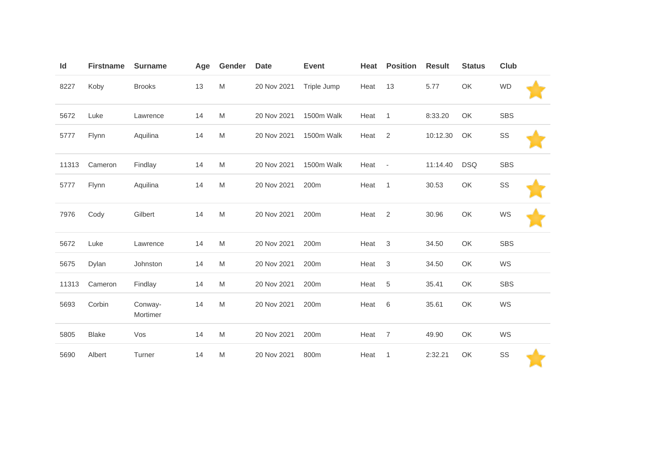| Id    | <b>Firstname</b> | <b>Surname</b>      | Age | Gender    | <b>Date</b> | <b>Event</b> | Heat | <b>Position</b>           | <b>Result</b> | <b>Status</b> | Club       |  |
|-------|------------------|---------------------|-----|-----------|-------------|--------------|------|---------------------------|---------------|---------------|------------|--|
| 8227  | Koby             | <b>Brooks</b>       | 13  | M         | 20 Nov 2021 | Triple Jump  | Heat | 13                        | 5.77          | OK            | <b>WD</b>  |  |
| 5672  | Luke             | Lawrence            | 14  | M         | 20 Nov 2021 | 1500m Walk   | Heat | $\mathbf{1}$              | 8:33.20       | OK            | <b>SBS</b> |  |
| 5777  | Flynn            | Aquilina            | 14  | M         | 20 Nov 2021 | 1500m Walk   | Heat | 2                         | 10:12.30      | OK            | SS         |  |
| 11313 | Cameron          | Findlay             | 14  | M         | 20 Nov 2021 | 1500m Walk   | Heat | $\overline{\phantom{a}}$  | 11:14.40      | <b>DSQ</b>    | <b>SBS</b> |  |
| 5777  | Flynn            | Aquilina            | 14  | M         | 20 Nov 2021 | 200m         | Heat | $\mathbf{1}$              | 30.53         | OK            | SS         |  |
| 7976  | Cody             | Gilbert             | 14  | ${\sf M}$ | 20 Nov 2021 | 200m         | Heat | $\overline{2}$            | 30.96         | OK            | WS         |  |
| 5672  | Luke             | Lawrence            | 14  | M         | 20 Nov 2021 | 200m         | Heat | $\ensuremath{\mathsf{3}}$ | 34.50         | OK            | <b>SBS</b> |  |
| 5675  | Dylan            | Johnston            | 14  | M         | 20 Nov 2021 | 200m         | Heat | $\sqrt{3}$                | 34.50         | OK            | WS         |  |
| 11313 | Cameron          | Findlay             | 14  | M         | 20 Nov 2021 | 200m         | Heat | $\,$ 5 $\,$               | 35.41         | OK            | <b>SBS</b> |  |
| 5693  | Corbin           | Conway-<br>Mortimer | 14  | M         | 20 Nov 2021 | 200m         | Heat | $\,6$                     | 35.61         | OK            | WS         |  |
| 5805  | <b>Blake</b>     | Vos                 | 14  | M         | 20 Nov 2021 | 200m         | Heat | 7                         | 49.90         | OK            | WS         |  |
| 5690  | Albert           | Turner              | 14  | M         | 20 Nov 2021 | 800m         | Heat | $\mathbf{1}$              | 2:32.21       | OK            | SS         |  |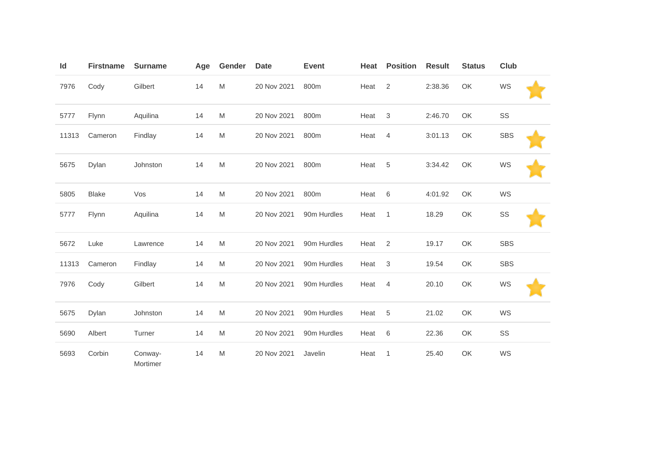| ld    | <b>Firstname</b> | <b>Surname</b>      | Age | Gender | <b>Date</b> | <b>Event</b> | Heat | <b>Position</b> | <b>Result</b> | <b>Status</b> | Club       |  |
|-------|------------------|---------------------|-----|--------|-------------|--------------|------|-----------------|---------------|---------------|------------|--|
| 7976  | Cody             | Gilbert             | 14  | M      | 20 Nov 2021 | 800m         | Heat | 2               | 2:38.36       | OK            | WS         |  |
| 5777  | Flynn            | Aquilina            | 14  | M      | 20 Nov 2021 | 800m         | Heat | 3               | 2:46.70       | OK            | SS         |  |
| 11313 | Cameron          | Findlay             | 14  | M      | 20 Nov 2021 | 800m         | Heat | $\overline{4}$  | 3:01.13       | OK            | <b>SBS</b> |  |
| 5675  | Dylan            | Johnston            | 14  | M      | 20 Nov 2021 | 800m         | Heat | 5               | 3:34.42       | OK            | WS         |  |
| 5805  | <b>Blake</b>     | Vos                 | 14  | M      | 20 Nov 2021 | 800m         | Heat | 6               | 4:01.92       | OK            | WS         |  |
| 5777  | Flynn            | Aquilina            | 14  | M      | 20 Nov 2021 | 90m Hurdles  | Heat | $\mathbf{1}$    | 18.29         | OK            | SS         |  |
| 5672  | Luke             | Lawrence            | 14  | M      | 20 Nov 2021 | 90m Hurdles  | Heat | $\overline{2}$  | 19.17         | OK            | <b>SBS</b> |  |
| 11313 | Cameron          | Findlay             | 14  | M      | 20 Nov 2021 | 90m Hurdles  | Heat | 3               | 19.54         | OK            | <b>SBS</b> |  |
| 7976  | Cody             | Gilbert             | 14  | M      | 20 Nov 2021 | 90m Hurdles  | Heat | $\overline{4}$  | 20.10         | OK            | WS         |  |
| 5675  | Dylan            | Johnston            | 14  | M      | 20 Nov 2021 | 90m Hurdles  | Heat | 5               | 21.02         | OK            | WS         |  |
| 5690  | Albert           | Turner              | 14  | M      | 20 Nov 2021 | 90m Hurdles  | Heat | 6               | 22.36         | OK            | SS         |  |
| 5693  | Corbin           | Conway-<br>Mortimer | 14  | M      | 20 Nov 2021 | Javelin      | Heat | $\mathbf 1$     | 25.40         | OK            | WS         |  |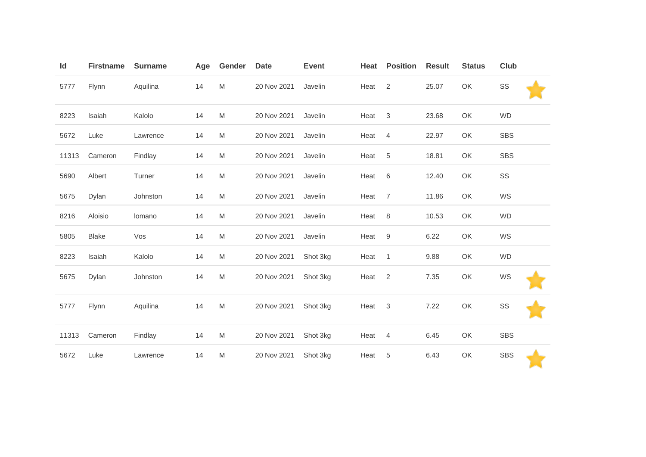| Id    | <b>Firstname</b> | <b>Surname</b> | Age | Gender    | <b>Date</b> | <b>Event</b> | Heat | <b>Position</b> | <b>Result</b> | <b>Status</b> | Club       |
|-------|------------------|----------------|-----|-----------|-------------|--------------|------|-----------------|---------------|---------------|------------|
| 5777  | Flynn            | Aquilina       | 14  | ${\sf M}$ | 20 Nov 2021 | Javelin      | Heat | 2               | 25.07         | OK            | SS         |
| 8223  | Isaiah           | Kalolo         | 14  | M         | 20 Nov 2021 | Javelin      | Heat | $\sqrt{3}$      | 23.68         | OK            | <b>WD</b>  |
| 5672  | Luke             | Lawrence       | 14  | M         | 20 Nov 2021 | Javelin      | Heat | $\overline{4}$  | 22.97         | OK            | <b>SBS</b> |
| 11313 | Cameron          | Findlay        | 14  | M         | 20 Nov 2021 | Javelin      | Heat | 5               | 18.81         | OK            | <b>SBS</b> |
| 5690  | Albert           | Turner         | 14  | M         | 20 Nov 2021 | Javelin      | Heat | 6               | 12.40         | OK            | SS         |
| 5675  | Dylan            | Johnston       | 14  | M         | 20 Nov 2021 | Javelin      | Heat | $\overline{7}$  | 11.86         | OK            | WS         |
| 8216  | Aloisio          | lomano         | 14  | M         | 20 Nov 2021 | Javelin      | Heat | 8               | 10.53         | OK            | <b>WD</b>  |
| 5805  | <b>Blake</b>     | Vos            | 14  | M         | 20 Nov 2021 | Javelin      | Heat | $9\,$           | 6.22          | OK            | WS         |
| 8223  | Isaiah           | Kalolo         | 14  | M         | 20 Nov 2021 | Shot 3kg     | Heat | $\mathbf{1}$    | 9.88          | OK            | <b>WD</b>  |
| 5675  | Dylan            | Johnston       | 14  | M         | 20 Nov 2021 | Shot 3kg     | Heat | $\overline{2}$  | 7.35          | OK            | WS         |
| 5777  | Flynn            | Aquilina       | 14  | M         | 20 Nov 2021 | Shot 3kg     | Heat | 3               | 7.22          | OK            | SS         |
| 11313 | Cameron          | Findlay        | 14  | M         | 20 Nov 2021 | Shot 3kg     | Heat | $\overline{4}$  | 6.45          | OK            | <b>SBS</b> |
| 5672  | Luke             | Lawrence       | 14  | M         | 20 Nov 2021 | Shot 3kg     | Heat | 5               | 6.43          | OK            | <b>SBS</b> |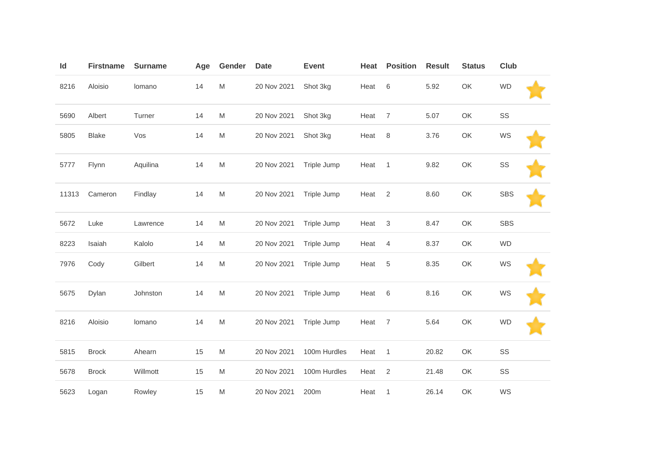| Id    | <b>Firstname</b> | <b>Surname</b> | Age | Gender                                                                                                     | <b>Date</b> | <b>Event</b> | Heat | <b>Position</b> | <b>Result</b> | <b>Status</b> | <b>Club</b> |  |
|-------|------------------|----------------|-----|------------------------------------------------------------------------------------------------------------|-------------|--------------|------|-----------------|---------------|---------------|-------------|--|
| 8216  | Aloisio          | lomano         | 14  | M                                                                                                          | 20 Nov 2021 | Shot 3kg     | Heat | 6               | 5.92          | OK            | <b>WD</b>   |  |
| 5690  | Albert           | Turner         | 14  | M                                                                                                          | 20 Nov 2021 | Shot 3kg     | Heat | $\overline{7}$  | 5.07          | OK            | SS          |  |
| 5805  | <b>Blake</b>     | Vos            | 14  | $\mathsf{M}% _{T}=\mathsf{M}_{T}\!\left( a,b\right) ,\ \mathsf{M}_{T}=\mathsf{M}_{T}\!\left( a,b\right) ,$ | 20 Nov 2021 | Shot 3kg     | Heat | $\,8\,$         | 3.76          | OK            | WS          |  |
| 5777  | Flynn            | Aquilina       | 14  | M                                                                                                          | 20 Nov 2021 | Triple Jump  | Heat | $\overline{1}$  | 9.82          | OK            | SS          |  |
| 11313 | Cameron          | Findlay        | 14  | M                                                                                                          | 20 Nov 2021 | Triple Jump  | Heat | $\overline{2}$  | 8.60          | OK            | <b>SBS</b>  |  |
| 5672  | Luke             | Lawrence       | 14  | M                                                                                                          | 20 Nov 2021 | Triple Jump  | Heat | $\sqrt{3}$      | 8.47          | OK            | <b>SBS</b>  |  |
| 8223  | Isaiah           | Kalolo         | 14  | M                                                                                                          | 20 Nov 2021 | Triple Jump  | Heat | 4               | 8.37          | OK            | <b>WD</b>   |  |
| 7976  | Cody             | Gilbert        | 14  | $\mathsf{M}% _{T}=\mathsf{M}_{T}\!\left( a,b\right) ,\ \mathsf{M}_{T}=\mathsf{M}_{T}\!\left( a,b\right) ,$ | 20 Nov 2021 | Triple Jump  | Heat | 5               | 8.35          | OK            | WS          |  |
| 5675  | Dylan            | Johnston       | 14  | $\mathsf{M}% _{T}=\mathsf{M}_{T}\!\left( a,b\right) ,\ \mathsf{M}_{T}=\mathsf{M}_{T}\!\left( a,b\right) ,$ | 20 Nov 2021 | Triple Jump  | Heat | $6\,$           | 8.16          | OK            | WS          |  |
| 8216  | Aloisio          | lomano         | 14  | $\mathsf{M}% _{T}=\mathsf{M}_{T}\!\left( a,b\right) ,\ \mathsf{M}_{T}=\mathsf{M}_{T}\!\left( a,b\right) ,$ | 20 Nov 2021 | Triple Jump  | Heat | $\overline{7}$  | 5.64          | OK            | <b>WD</b>   |  |
| 5815  | <b>Brock</b>     | Ahearn         | 15  | M                                                                                                          | 20 Nov 2021 | 100m Hurdles | Heat | $\mathbf{1}$    | 20.82         | OK            | SS          |  |
| 5678  | <b>Brock</b>     | Willmott       | 15  | M                                                                                                          | 20 Nov 2021 | 100m Hurdles | Heat | $\overline{2}$  | 21.48         | OK            | SS          |  |
| 5623  | Logan            | Rowley         | 15  | M                                                                                                          | 20 Nov 2021 | 200m         | Heat | $\mathbf{1}$    | 26.14         | OK            | WS          |  |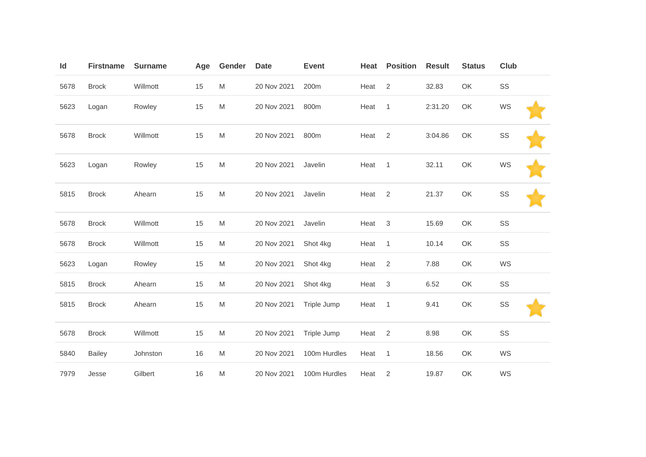| Id   | <b>Firstname</b> | <b>Surname</b> | Age | Gender                                                                                                     | <b>Date</b> | <b>Event</b> | Heat              | <b>Position</b> | <b>Result</b> | <b>Status</b> | Club |  |
|------|------------------|----------------|-----|------------------------------------------------------------------------------------------------------------|-------------|--------------|-------------------|-----------------|---------------|---------------|------|--|
| 5678 | <b>Brock</b>     | Willmott       | 15  | M                                                                                                          | 20 Nov 2021 | 200m         | Heat              | 2               | 32.83         | OK            | SS   |  |
| 5623 | Logan            | Rowley         | 15  | M                                                                                                          | 20 Nov 2021 | 800m         | Heat              | $\mathbf{1}$    | 2:31.20       | OK            | WS   |  |
| 5678 | <b>Brock</b>     | Willmott       | 15  | $\mathsf{M}% _{T}=\mathsf{M}_{T}\!\left( a,b\right) ,\ \mathsf{M}_{T}=\mathsf{M}_{T}\!\left( a,b\right) ,$ | 20 Nov 2021 | 800m         | Heat              | $\overline{2}$  | 3:04.86       | OK            | SS   |  |
| 5623 | Logan            | Rowley         | 15  | M                                                                                                          | 20 Nov 2021 | Javelin      | Heat              | $\mathbf{1}$    | 32.11         | OK            | WS   |  |
| 5815 | <b>Brock</b>     | Ahearn         | 15  | M                                                                                                          | 20 Nov 2021 | Javelin      | Heat <sub>2</sub> |                 | 21.37         | OK            | SS   |  |
| 5678 | <b>Brock</b>     | Willmott       | 15  | M                                                                                                          | 20 Nov 2021 | Javelin      | Heat              | $\mathbf{3}$    | 15.69         | OK            | SS   |  |
| 5678 | <b>Brock</b>     | Willmott       | 15  | M                                                                                                          | 20 Nov 2021 | Shot 4kg     | Heat              | $\mathbf{1}$    | 10.14         | OK            | SS   |  |
| 5623 | Logan            | Rowley         | 15  | M                                                                                                          | 20 Nov 2021 | Shot 4kg     | Heat              | $\overline{2}$  | 7.88          | OK            | WS   |  |
| 5815 | <b>Brock</b>     | Ahearn         | 15  | M                                                                                                          | 20 Nov 2021 | Shot 4kg     | Heat              | $\sqrt{3}$      | 6.52          | OK            | SS   |  |
| 5815 | <b>Brock</b>     | Ahearn         | 15  | M                                                                                                          | 20 Nov 2021 | Triple Jump  | Heat              | $\overline{1}$  | 9.41          | OK            | SS   |  |
| 5678 | <b>Brock</b>     | Willmott       | 15  | M                                                                                                          | 20 Nov 2021 | Triple Jump  | Heat              | $\overline{2}$  | 8.98          | OK            | SS   |  |
| 5840 | <b>Bailey</b>    | Johnston       | 16  | M                                                                                                          | 20 Nov 2021 | 100m Hurdles | Heat              | $\mathbf{1}$    | 18.56         | OK            | WS   |  |
| 7979 | Jesse            | Gilbert        | 16  | M                                                                                                          | 20 Nov 2021 | 100m Hurdles | Heat              | $\overline{2}$  | 19.87         | OK            | WS   |  |